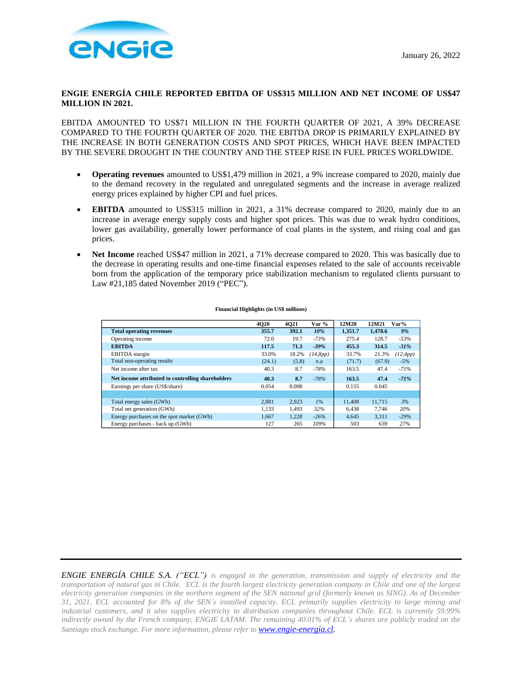

# **ENGIE ENERGÍA CHILE REPORTED EBITDA OF US\$315 MILLION AND NET INCOME OF US\$47 MILLION IN 2021.**

EBITDA AMOUNTED TO US\$71 MILLION IN THE FOURTH QUARTER OF 2021, A 39% DECREASE COMPARED TO THE FOURTH QUARTER OF 2020. THE EBITDA DROP IS PRIMARILY EXPLAINED BY THE INCREASE IN BOTH GENERATION COSTS AND SPOT PRICES, WHICH HAVE BEEN IMPACTED BY THE SEVERE DROUGHT IN THE COUNTRY AND THE STEEP RISE IN FUEL PRICES WORLDWIDE.

- **Operating revenues** amounted to US\$1,479 million in 2021, a 9% increase compared to 2020, mainly due to the demand recovery in the regulated and unregulated segments and the increase in average realized energy prices explained by higher CPI and fuel prices.
- **EBITDA** amounted to US\$315 million in 2021, a 31% decrease compared to 2020, mainly due to an increase in average energy supply costs and higher spot prices. This was due to weak hydro conditions, lower gas availability, generally lower performance of coal plants in the system, and rising coal and gas prices.
- **Net Income** reached US\$47 million in 2021, a 71% decrease compared to 2020. This was basically due to the decrease in operating results and one-time financial expenses related to the sale of accounts receivable born from the application of the temporary price stabilization mechanism to regulated clients pursuant to Law #21,185 dated November 2019 ("PEC").

|                                                   | 4020   | 4021  | Var %    | 12M20   | 12M21   | Var%      |
|---------------------------------------------------|--------|-------|----------|---------|---------|-----------|
| <b>Total operating revenues</b>                   | 355.7  | 392.1 | 10%      | 1,351.7 | 1,478.6 | 9%        |
| Operating income                                  | 72.0   | 19.7  | $-73%$   | 275.4   | 128.7   | $-53%$    |
| <b>EBITDA</b>                                     | 117.5  | 71.3  | $-39%$   | 455.3   | 314.5   | $-31%$    |
| EBITDA margin                                     | 33.0%  | 18.2% | (14,8pp) | 33.7%   | 21.3%   | (12, 4pp) |
| Total non-operating results                       | (24.1) | (5.8) | n.a      | (71.7)  | (67.9)  | $-5%$     |
| Net income after tax                              | 40.3   | 8.7   | $-78%$   | 163.5   | 47.4    | $-71%$    |
| Net income attributed to controlling shareholders | 40.3   | 8.7   | $-78%$   | 163.5   | 47.4    | $-71%$    |
| Earnings per share (US\$/share)                   | 0.054  | 0.008 |          | 0.155   | 0.045   |           |
|                                                   |        |       |          |         |         |           |
| Total energy sales (GWh)                          | 2.881  | 2,923 | $1\%$    | 11.408  | 11.715  | 3%        |
| Total net generation (GWh)                        | 1.133  | 1.493 | 32%      | 6.438   | 7.746   | 20%       |
| Energy purchases on the spot market (GWh)         | 1.667  | 1,228 | $-26%$   | 4,645   | 3.311   | $-29%$    |
| Energy purchases - back up (GWh)                  | 127    | 265   | 109%     | 503     | 639     | 27%       |

#### **Financial Highlights (in US\$ millions)**

*ENGIE ENERGÍA CHILE S.A. ("ECL") is engaged in the generation, transmission and supply of electricity and the transportation of natural gas in Chile. ECL is the fourth largest electricity generation company in Chile and one of the largest electricity generation companies in the northern segment of the SEN national grid (formerly known as SING). As of December 31, 2021, ECL accounted for 8% of the SEN's installed capacity. ECL primarily supplies electricity to large mining and industrial customers, and it also supplies electricity to distribution companies throughout Chile. ECL is currently 59.99% indirectly owned by the French company, ENGIE LATAM. The remaining 40.01% of ECL's shares are publicly traded on the Santiago stock exchange. For more information, please refer to [www.engie-energia.cl.](http://www.engie-energia.cl/)*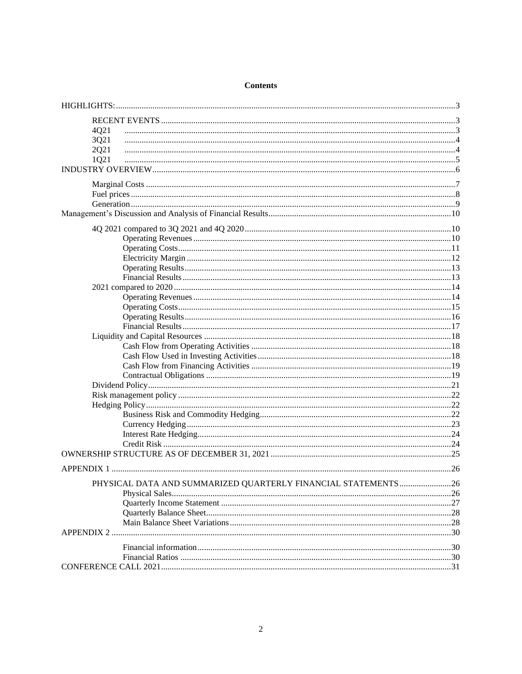| 4Q21                                                          |  |
|---------------------------------------------------------------|--|
| 3Q21                                                          |  |
| 2Q21                                                          |  |
| 1Q21                                                          |  |
|                                                               |  |
|                                                               |  |
|                                                               |  |
|                                                               |  |
|                                                               |  |
|                                                               |  |
|                                                               |  |
|                                                               |  |
|                                                               |  |
|                                                               |  |
|                                                               |  |
|                                                               |  |
|                                                               |  |
|                                                               |  |
|                                                               |  |
|                                                               |  |
|                                                               |  |
|                                                               |  |
|                                                               |  |
|                                                               |  |
|                                                               |  |
|                                                               |  |
|                                                               |  |
|                                                               |  |
|                                                               |  |
|                                                               |  |
|                                                               |  |
|                                                               |  |
|                                                               |  |
|                                                               |  |
| PHYSICAL DATA AND SUMMARIZED QUARTERLY FINANCIAL STATEMENTS26 |  |
|                                                               |  |
|                                                               |  |
|                                                               |  |
|                                                               |  |
|                                                               |  |
|                                                               |  |
|                                                               |  |
|                                                               |  |

# **Contents**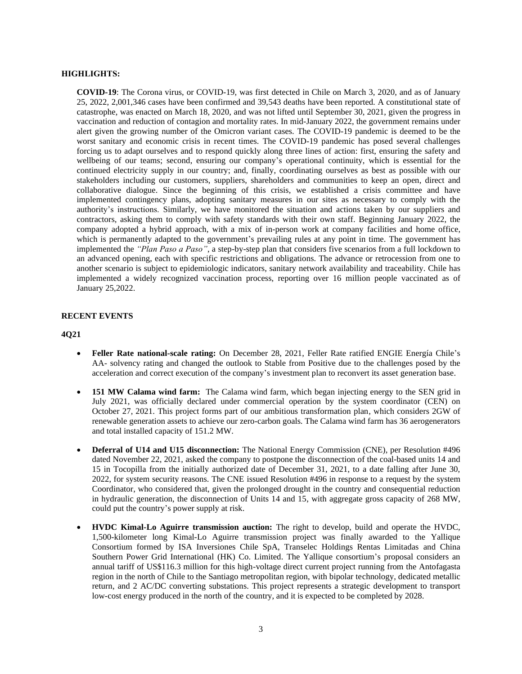### <span id="page-2-0"></span>**HIGHLIGHTS:**

**COVID-19**: The Corona virus, or COVID-19, was first detected in Chile on March 3, 2020, and as of January 25, 2022, 2,001,346 cases have been confirmed and 39,543 deaths have been reported. A constitutional state of catastrophe, was enacted on March 18, 2020, and was not lifted until September 30, 2021, given the progress in vaccination and reduction of contagion and mortality rates. In mid-January 2022, the government remains under alert given the growing number of the Omicron variant cases. The COVID-19 pandemic is deemed to be the worst sanitary and economic crisis in recent times. The COVID-19 pandemic has posed several challenges forcing us to adapt ourselves and to respond quickly along three lines of action: first, ensuring the safety and wellbeing of our teams; second, ensuring our company's operational continuity, which is essential for the continued electricity supply in our country; and, finally, coordinating ourselves as best as possible with our stakeholders including our customers, suppliers, shareholders and communities to keep an open, direct and collaborative dialogue. Since the beginning of this crisis, we established a crisis committee and have implemented contingency plans, adopting sanitary measures in our sites as necessary to comply with the authority's instructions. Similarly, we have monitored the situation and actions taken by our suppliers and contractors, asking them to comply with safety standards with their own staff. Beginning January 2022, the company adopted a hybrid approach, with a mix of in-person work at company facilities and home office, which is permanently adapted to the government's prevailing rules at any point in time. The government has implemented the *"Plan Paso a Paso"*, a step-by-step plan that considers five scenarios from a full lockdown to an advanced opening, each with specific restrictions and obligations. The advance or retrocession from one to another scenario is subject to epidemiologic indicators, sanitary network availability and traceability. Chile has implemented a widely recognized vaccination process, reporting over 16 million people vaccinated as of January 25,2022.

### <span id="page-2-1"></span>**RECENT EVENTS**

### <span id="page-2-2"></span>**4Q21**

- **Feller Rate national-scale rating:** On December 28, 2021, Feller Rate ratified ENGIE Energía Chile's AA- solvency rating and changed the outlook to Stable from Positive due to the challenges posed by the acceleration and correct execution of the company's investment plan to reconvert its asset generation base.
- **151 MW Calama wind farm:** The Calama wind farm, which began injecting energy to the SEN grid in July 2021, was officially declared under commercial operation by the system coordinator (CEN) on October 27, 2021. This project forms part of our ambitious transformation plan, which considers 2GW of renewable generation assets to achieve our zero-carbon goals. The Calama wind farm has 36 aerogenerators and total installed capacity of 151.2 MW.
- **Deferral of U14 and U15 disconnection:** The National Energy Commission (CNE), per Resolution #496 dated November 22, 2021, asked the company to postpone the disconnection of the coal-based units 14 and 15 in Tocopilla from the initially authorized date of December 31, 2021, to a date falling after June 30, 2022, for system security reasons. The CNE issued Resolution #496 in response to a request by the system Coordinator, who considered that, given the prolonged drought in the country and consequential reduction in hydraulic generation, the disconnection of Units 14 and 15, with aggregate gross capacity of 268 MW, could put the country's power supply at risk.
- **HVDC Kimal-Lo Aguirre transmission auction:** The right to develop, build and operate the HVDC, 1,500-kilometer long Kimal-Lo Aguirre transmission project was finally awarded to the Yallique Consortium formed by ISA Inversiones Chile SpA, Transelec Holdings Rentas Limitadas and China Southern Power Grid International (HK) Co. Limited. The Yallique consortium's proposal considers an annual tariff of US\$116.3 million for this high-voltage direct current project running from the Antofagasta region in the north of Chile to the Santiago metropolitan region, with bipolar technology, dedicated metallic return, and 2 AC/DC converting substations. This project represents a strategic development to transport low-cost energy produced in the north of the country, and it is expected to be completed by 2028.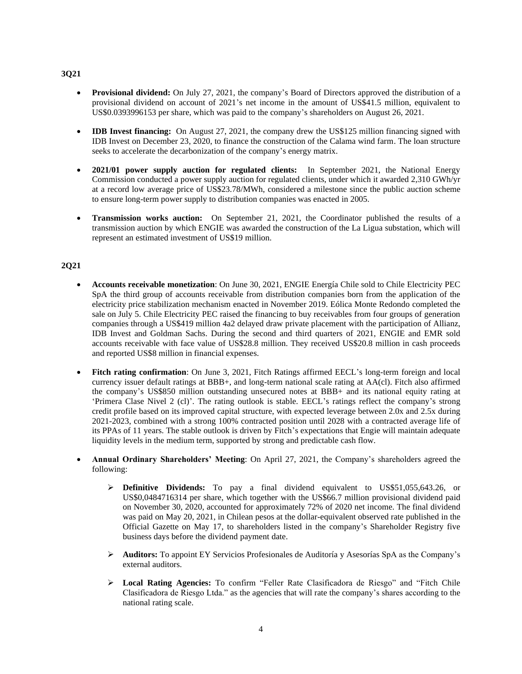# <span id="page-3-0"></span>**3Q21**

- **Provisional dividend:** On July 27, 2021, the company's Board of Directors approved the distribution of a provisional dividend on account of 2021's net income in the amount of US\$41.5 million, equivalent to US\$0.0393996153 per share, which was paid to the company's shareholders on August 26, 2021.
- **IDB Invest financing:** On August 27, 2021, the company drew the US\$125 million financing signed with IDB Invest on December 23, 2020, to finance the construction of the Calama wind farm. The loan structure seeks to accelerate the decarbonization of the company's energy matrix.
- **2021/01 power supply auction for regulated clients:** In September 2021, the National Energy Commission conducted a power supply auction for regulated clients, under which it awarded 2,310 GWh/yr at a record low average price of US\$23.78/MWh, considered a milestone since the public auction scheme to ensure long-term power supply to distribution companies was enacted in 2005.
- **Transmission works auction:** On September 21, 2021, the Coordinator published the results of a transmission auction by which ENGIE was awarded the construction of the La Ligua substation, which will represent an estimated investment of US\$19 million.

# <span id="page-3-1"></span>**2Q21**

- **Accounts receivable monetization**: On June 30, 2021, ENGIE Energía Chile sold to Chile Electricity PEC SpA the third group of accounts receivable from distribution companies born from the application of the electricity price stabilization mechanism enacted in November 2019. Eólica Monte Redondo completed the sale on July 5. Chile Electricity PEC raised the financing to buy receivables from four groups of generation companies through a US\$419 million 4a2 delayed draw private placement with the participation of Allianz, IDB Invest and Goldman Sachs. During the second and third quarters of 2021, ENGIE and EMR sold accounts receivable with face value of US\$28.8 million. They received US\$20.8 million in cash proceeds and reported US\$8 million in financial expenses.
- **Fitch rating confirmation**: On June 3, 2021, Fitch Ratings affirmed EECL's long-term foreign and local currency issuer default ratings at BBB+, and long-term national scale rating at AA(cl). Fitch also affirmed the company's US\$850 million outstanding unsecured notes at BBB+ and its national equity rating at 'Primera Clase Nivel 2 (cl)'. The rating outlook is stable. EECL's ratings reflect the company's strong credit profile based on its improved capital structure, with expected leverage between 2.0x and 2.5x during 2021-2023, combined with a strong 100% contracted position until 2028 with a contracted average life of its PPAs of 11 years. The stable outlook is driven by Fitch's expectations that Engie will maintain adequate liquidity levels in the medium term, supported by strong and predictable cash flow.
- **Annual Ordinary Shareholders' Meeting**: On April 27, 2021, the Company's shareholders agreed the following:
	- ➢ **Definitive Dividends:** To pay a final dividend equivalent to US\$51,055,643.26, or US\$0,0484716314 per share, which together with the US\$66.7 million provisional dividend paid on November 30, 2020, accounted for approximately 72% of 2020 net income. The final dividend was paid on May 20, 2021, in Chilean pesos at the dollar-equivalent observed rate published in the Official Gazette on May 17, to shareholders listed in the company's Shareholder Registry five business days before the dividend payment date.
	- ➢ **Auditors:** To appoint EY Servicios Profesionales de Auditoría y Asesorías SpA as the Company's external auditors.
	- ➢ **Local Rating Agencies:** To confirm "Feller Rate Clasificadora de Riesgo" and "Fitch Chile Clasificadora de Riesgo Ltda." as the agencies that will rate the company's shares according to the national rating scale.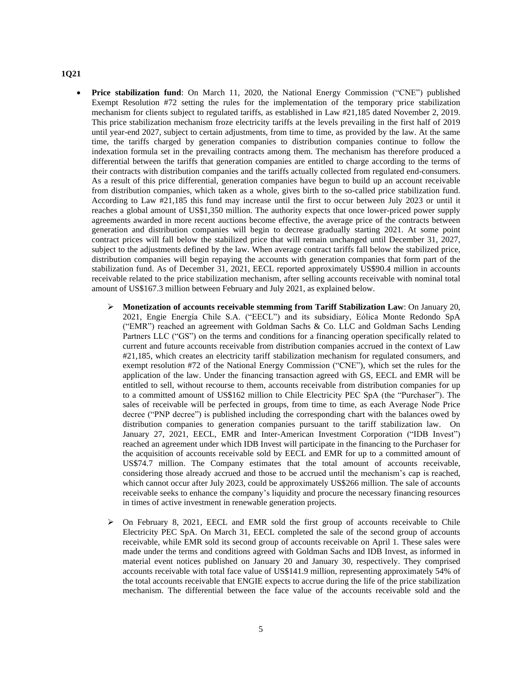### <span id="page-4-0"></span>**1Q21**

- **Price stabilization fund**: On March 11, 2020, the National Energy Commission ("CNE") published Exempt Resolution #72 setting the rules for the implementation of the temporary price stabilization mechanism for clients subject to regulated tariffs, as established in Law #21,185 dated November 2, 2019. This price stabilization mechanism froze electricity tariffs at the levels prevailing in the first half of 2019 until year-end 2027, subject to certain adjustments, from time to time, as provided by the law. At the same time, the tariffs charged by generation companies to distribution companies continue to follow the indexation formula set in the prevailing contracts among them. The mechanism has therefore produced a differential between the tariffs that generation companies are entitled to charge according to the terms of their contracts with distribution companies and the tariffs actually collected from regulated end-consumers. As a result of this price differential, generation companies have begun to build up an account receivable from distribution companies, which taken as a whole, gives birth to the so-called price stabilization fund. According to Law #21,185 this fund may increase until the first to occur between July 2023 or until it reaches a global amount of US\$1,350 million. The authority expects that once lower-priced power supply agreements awarded in more recent auctions become effective, the average price of the contracts between generation and distribution companies will begin to decrease gradually starting 2021. At some point contract prices will fall below the stabilized price that will remain unchanged until December 31, 2027, subject to the adjustments defined by the law. When average contract tariffs fall below the stabilized price, distribution companies will begin repaying the accounts with generation companies that form part of the stabilization fund. As of December 31, 2021, EECL reported approximately US\$90.4 million in accounts receivable related to the price stabilization mechanism, after selling accounts receivable with nominal total amount of US\$167.3 million between February and July 2021, as explained below.
	- ➢ **Monetization of accounts receivable stemming from Tariff Stabilization Law**: On January 20, 2021, Engie Energía Chile S.A. ("EECL") and its subsidiary, Eólica Monte Redondo SpA ("EMR") reached an agreement with Goldman Sachs & Co. LLC and Goldman Sachs Lending Partners LLC ("GS") on the terms and conditions for a financing operation specifically related to current and future accounts receivable from distribution companies accrued in the context of Law #21,185, which creates an electricity tariff stabilization mechanism for regulated consumers, and exempt resolution #72 of the National Energy Commission ("CNE"), which set the rules for the application of the law. Under the financing transaction agreed with GS, EECL and EMR will be entitled to sell, without recourse to them, accounts receivable from distribution companies for up to a committed amount of US\$162 million to Chile Electricity PEC SpA (the "Purchaser"). The sales of receivable will be perfected in groups, from time to time, as each Average Node Price decree ("PNP decree") is published including the corresponding chart with the balances owed by distribution companies to generation companies pursuant to the tariff stabilization law. On January 27, 2021, EECL, EMR and Inter-American Investment Corporation ("IDB Invest") reached an agreement under which IDB Invest will participate in the financing to the Purchaser for the acquisition of accounts receivable sold by EECL and EMR for up to a committed amount of US\$74.7 million. The Company estimates that the total amount of accounts receivable, considering those already accrued and those to be accrued until the mechanism's cap is reached, which cannot occur after July 2023, could be approximately US\$266 million. The sale of accounts receivable seeks to enhance the company's liquidity and procure the necessary financing resources in times of active investment in renewable generation projects.
	- ➢ On February 8, 2021, EECL and EMR sold the first group of accounts receivable to Chile Electricity PEC SpA. On March 31, EECL completed the sale of the second group of accounts receivable, while EMR sold its second group of accounts receivable on April 1. These sales were made under the terms and conditions agreed with Goldman Sachs and IDB Invest, as informed in material event notices published on January 20 and January 30, respectively. They comprised accounts receivable with total face value of US\$141.9 million, representing approximately 54% of the total accounts receivable that ENGIE expects to accrue during the life of the price stabilization mechanism. The differential between the face value of the accounts receivable sold and the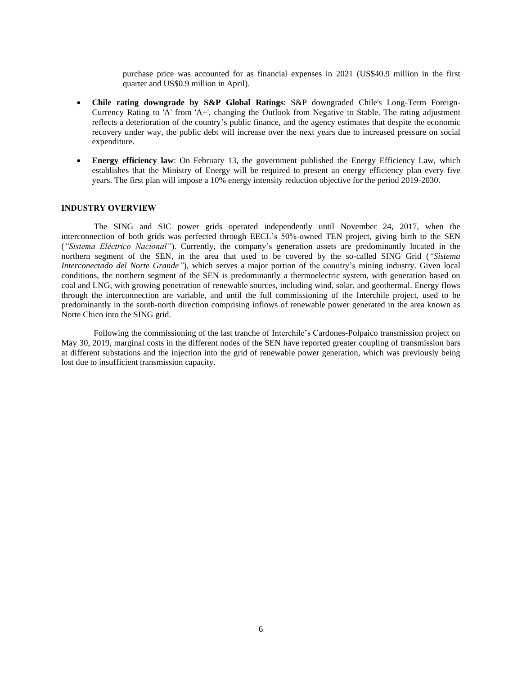purchase price was accounted for as financial expenses in 2021 (US\$40.9 million in the first quarter and US\$0.9 million in April).

- **Chile rating downgrade by S&P Global Ratings**: S&P downgraded Chile's Long-Term Foreign-Currency Rating to 'A' from 'A+', changing the Outlook from Negative to Stable. The rating adjustment reflects a deterioration of the country's public finance, and the agency estimates that despite the economic recovery under way, the public debt will increase over the next years due to increased pressure on social expenditure.
- **Energy efficiency law**: On February 13, the government published the Energy Efficiency Law, which establishes that the Ministry of Energy will be required to present an energy efficiency plan every five years. The first plan will impose a 10% energy intensity reduction objective for the period 2019-2030.

### <span id="page-5-0"></span>**INDUSTRY OVERVIEW**

The SING and SIC power grids operated independently until November 24, 2017, when the interconnection of both grids was perfected through EECL's 50%-owned TEN project, giving birth to the SEN (*"Sistema Eléctrico Nacional"*). Currently, the company's generation assets are predominantly located in the northern segment of the SEN, in the area that used to be covered by the so-called SING Grid (*"Sistema Interconectado del Norte Grande"*), which serves a major portion of the country's mining industry. Given local conditions, the northern segment of the SEN is predominantly a thermoelectric system, with generation based on coal and LNG, with growing penetration of renewable sources, including wind, solar, and geothermal. Energy flows through the interconnection are variable, and until the full commissioning of the Interchile project, used to be predominantly in the south-north direction comprising inflows of renewable power generated in the area known as Norte Chico into the SING grid.

Following the commissioning of the last tranche of Interchile's Cardones-Polpaico transmission project on May 30, 2019, marginal costs in the different nodes of the SEN have reported greater coupling of transmission bars at different substations and the injection into the grid of renewable power generation, which was previously being lost due to insufficient transmission capacity.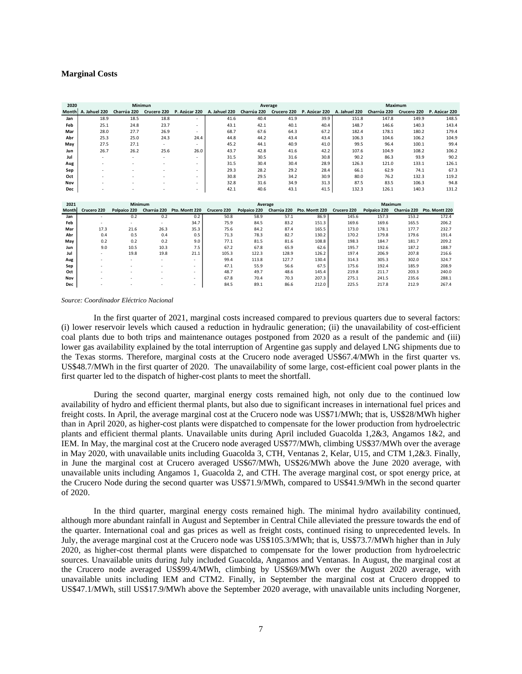### <span id="page-6-0"></span>**Marginal Costs**

| 2020         |               | Minimun                  |                          |                          |               |              | Average     |                |               |              | Maximum                    |               |
|--------------|---------------|--------------------------|--------------------------|--------------------------|---------------|--------------|-------------|----------------|---------------|--------------|----------------------------|---------------|
| Month        | A. Jahuel 220 | Charrúa 220              | Crucero 220              | P. Azúcar 220            | A. Jahuel 220 | Charrúa 220  | Crucero 220 | P. Azúcar 220  | A. Jahuel 220 | Charrúa 220  | Crucero 220                | P. Azúcar 220 |
| Jan          | 18.9          | 18.5                     | 18.8                     | $\overline{\phantom{a}}$ | 41.6          | 40.4         | 41.9        | 39.9           | 151.8         | 147.8        | 149.9                      | 148.5         |
| Feb          | 25.1          | 24.8                     | 23.7                     | $\overline{\phantom{a}}$ | 43.1          | 42.1         | 40.1        | 40.4           | 148.7         | 146.6        | 140.3                      | 143.4         |
| Mar          | 28.0          | 27.7                     | 26.9                     | $\overline{\phantom{a}}$ | 68.7          | 67.6         | 64.3        | 67.2           | 182.4         | 178.1        | 180.2                      | 179.4         |
| Abr          | 25.3          | 25.0                     | 24.3                     | 24.4                     | 44.8          | 44.2         | 43.4        | 43.4           | 106.3         | 104.6        | 106.2                      | 104.9         |
| May          | 27.5          | 27.1                     | $\sim$                   | $\sim$                   | 45.2          | 44.1         | 40.9        | 41.0           | 99.5          | 96.4         | 100.1                      | 99.4          |
| Jun          | 26.7          | 26.2                     | 25.6                     | 26.0                     | 43.7          | 42.8         | 41.6        | 42.2           | 107.6         | 104.9        | 108.2                      | 106.2         |
| Jul          |               | ٠                        |                          | $\overline{\phantom{a}}$ | 31.5          | 30.5         | 31.6        | 30.8           | 90.2          | 86.3         | 93.9                       | 90.2          |
| Aug          |               |                          | ٠                        | $\overline{\phantom{a}}$ | 31.5          | 30.4         | 30.4        | 28.9           | 126.3         | 121.0        | 133.1                      | 126.1         |
| Sep          |               |                          |                          | $\overline{\phantom{a}}$ | 29.3          | 28.2         | 29.2        | 28.4           | 66.1          | 62.9         | 74.1                       | 67.3          |
| Oct          |               |                          |                          |                          | 30.8          | 29.5         | 34.2        | 30.9           | 80.0          | 76.2         | 132.3                      | 119.2         |
| Nov          |               |                          |                          | $\overline{\phantom{a}}$ | 32.8          | 31.6         | 34.9        | 31.3           | 87.5          | 83.5         | 106.3                      | 94.8          |
| Dec          |               |                          |                          | $\overline{\phantom{a}}$ | 42.1          | 40.6         | 43.1        | 41.5           | 132.3         | 126.1        | 140.3                      | 131.2         |
|              |               |                          |                          |                          |               |              |             |                |               |              |                            |               |
| 2021         |               | Minimum                  |                          |                          |               | Average      |             |                |               | Maximum      |                            |               |
| <b>Month</b> | Crucero 220   | Polpaico 220             | Charrúa 220              | Pto. Montt 220           | Crucero 220   | Polpaico 220 | Charrúa 220 | Pto. Montt 220 | Crucero 220   | Polpaico 220 | Charrúa 220 Pto. Montt 220 |               |
| Jan          |               | 0.2                      | 0.2                      | 0.2                      | 50.8          | 58.9         | 57.1        | 86.9           | 145.6         | 157.3        | 153.2                      | 172.4         |
| Feb          |               | ÷,                       | $\overline{\phantom{a}}$ | 34.7                     | 75.9          | 84.5         | 83.2        | 151.3          | 169.6         | 169.6        | 165.5                      | 206.2         |
| Mar          | 17.3          | 21.6                     | 26.3                     | 35.3                     | 75.6          | 84.2         | 87.4        | 165.5          | 173.0         | 178.1        | 177.7                      | 232.7         |
| Abr          | 0.4           | 0.5                      | 0.4                      | 0.5                      | 71.3          | 78.3         | 82.7        | 130.2          | 170.2         | 179.8        | 179.6                      | 191.4         |
| May          | 0.2           | 0.2                      | 0.2                      | 9.0                      | 77.1          | 81.5         | 81.6        | 108.8          | 198.3         | 184.7        | 181.7                      | 209.2         |
| Jun          | 9.0           | 10.5                     | 10.3                     | 7.5                      | 67.2          | 67.8         | 65.9        | 62.6           | 195.7         | 192.6        | 187.2                      | 188.7         |
| Jul          |               | 19.8                     | 19.8                     | 21.1                     | 105.3         | 122.3        | 128.9       | 126.2          | 197.4         | 206.9        | 207.8                      | 216.6         |
| Aug          |               | $\overline{\phantom{a}}$ | $\overline{a}$           | $\overline{\phantom{a}}$ | 99.4          | 113.8        | 127.7       | 130.4          | 314.3         | 305.3        | 302.0                      | 324.7         |
| Sep          |               |                          |                          | $\overline{\phantom{a}}$ | 47.1          | 55.9         | 56.6        | 67.5           | 175.6         | 192.4        | 185.9                      | 208.9         |
| Oct          |               |                          |                          | $\overline{a}$           | 48.7          | 49.7         | 48.6        | 145.4          | 219.8         | 211.7        | 203.3                      | 240.0         |
| Nov          |               |                          |                          | $\overline{\phantom{a}}$ | 67.8          | 70.4         | 70.3        | 207.3          | 275.1         | 241.5        | 235.6                      | 288.1         |
| Dec          |               |                          |                          | $\overline{\phantom{a}}$ | 84.5          | 89.1         | 86.6        | 212.0          | 225.5         | 217.8        | 212.9                      | 267.4         |

*Source: Coordinador Eléctrico Nacional*

In the first quarter of 2021, marginal costs increased compared to previous quarters due to several factors: (i) lower reservoir levels which caused a reduction in hydraulic generation; (ii) the unavailability of cost-efficient coal plants due to both trips and maintenance outages postponed from 2020 as a result of the pandemic and (iii) lower gas availability explained by the total interruption of Argentine gas supply and delayed LNG shipments due to the Texas storms. Therefore, marginal costs at the Crucero node averaged US\$67.4/MWh in the first quarter vs. US\$48.7/MWh in the first quarter of 2020. The unavailability of some large, cost-efficient coal power plants in the first quarter led to the dispatch of higher-cost plants to meet the shortfall.

During the second quarter, marginal energy costs remained high, not only due to the continued low availability of hydro and efficient thermal plants, but also due to significant increases in international fuel prices and freight costs. In April, the average marginal cost at the Crucero node was US\$71/MWh; that is, US\$28/MWh higher than in April 2020, as higher-cost plants were dispatched to compensate for the lower production from hydroelectric plants and efficient thermal plants. Unavailable units during April included Guacolda 1,2&3, Angamos 1&2, and IEM. In May, the marginal cost at the Crucero node averaged US\$77/MWh, climbing US\$37/MWh over the average in May 2020, with unavailable units including Guacolda 3, CTH, Ventanas 2, Kelar, U15, and CTM 1,2&3. Finally, in June the marginal cost at Crucero averaged US\$67/MWh, US\$26/MWh above the June 2020 average, with unavailable units including Angamos 1, Guacolda 2, and CTH. The average marginal cost, or spot energy price, at the Crucero Node during the second quarter was US\$71.9/MWh, compared to US\$41.9/MWh in the second quarter of 2020.

In the third quarter, marginal energy costs remained high. The minimal hydro availability continued, although more abundant rainfall in August and September in Central Chile alleviated the pressure towards the end of the quarter. International coal and gas prices as well as freight costs, continued rising to unprecedented levels. In July, the average marginal cost at the Crucero node was US\$105.3/MWh; that is, US\$73.7/MWh higher than in July 2020, as higher-cost thermal plants were dispatched to compensate for the lower production from hydroelectric sources. Unavailable units during July included Guacolda, Angamos and Ventanas. In August, the marginal cost at the Crucero node averaged US\$99.4/MWh, climbing by US\$69/MWh over the August 2020 average, with unavailable units including IEM and CTM2. Finally, in September the marginal cost at Crucero dropped to US\$47.1/MWh, still US\$17.9/MWh above the September 2020 average, with unavailable units including Norgener,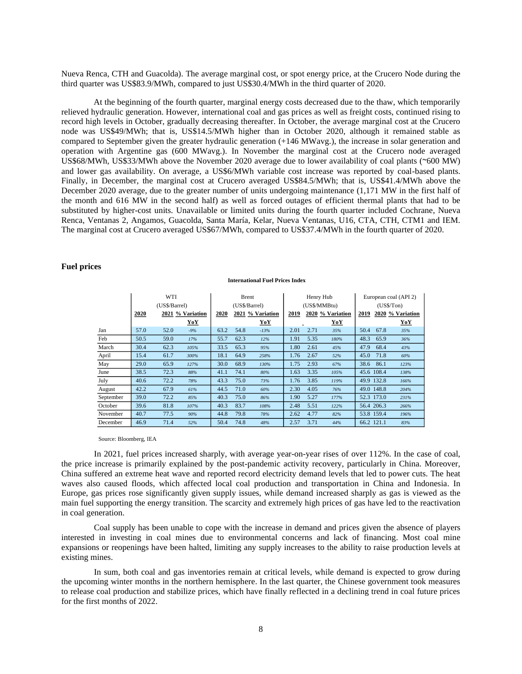Nueva Renca, CTH and Guacolda). The average marginal cost, or spot energy price, at the Crucero Node during the third quarter was US\$83.9/MWh, compared to just US\$30.4/MWh in the third quarter of 2020.

At the beginning of the fourth quarter, marginal energy costs decreased due to the thaw, which temporarily relieved hydraulic generation. However, international coal and gas prices as well as freight costs, continued rising to record high levels in October, gradually decreasing thereafter. In October, the average marginal cost at the Crucero node was US\$49/MWh; that is, US\$14.5/MWh higher than in October 2020, although it remained stable as compared to September given the greater hydraulic generation (+146 MWavg.), the increase in solar generation and operation with Argentine gas (600 MWavg.). In November the marginal cost at the Crucero node averaged US\$68/MWh, US\$33/MWh above the November 2020 average due to lower availability of coal plants (~600 MW) and lower gas availability. On average, a US\$6/MWh variable cost increase was reported by coal-based plants. Finally, in December, the marginal cost at Crucero averaged US\$84.5/MWh; that is, US\$41.4/MWh above the December 2020 average, due to the greater number of units undergoing maintenance (1,171 MW in the first half of the month and 616 MW in the second half) as well as forced outages of efficient thermal plants that had to be substituted by higher-cost units. Unavailable or limited units during the fourth quarter included Cochrane, Nueva Renca, Ventanas 2, Angamos, Guacolda, Santa María, Kelar, Nueva Ventanas, U16, CTA, CTH, CTM1 and IEM. The marginal cost at Crucero averaged US\$67/MWh, compared to US\$37.4/MWh in the fourth quarter of 2020.

### <span id="page-7-0"></span>**Fuel prices**

|           | WTI<br>(US\$/Barrel) |      | <b>Brent</b><br>(US\$/Barrel) |      |      | Henry Hub<br>(US\$/MMBtu) |      |      | European coal (API 2)<br>(US\$/Top) |      |            |                  |
|-----------|----------------------|------|-------------------------------|------|------|---------------------------|------|------|-------------------------------------|------|------------|------------------|
|           | 2020                 |      | 2021 % Variation              | 2020 |      | 2021 % Variation          | 2019 |      | 2020 % Variation                    | 2019 |            | 2020 % Variation |
|           |                      |      | YoY                           |      |      | YoY                       |      |      | YoY                                 |      |            | YoY              |
| Jan       | 57.0                 | 52.0 | $-9%$                         | 63.2 | 54.8 | $-13%$                    | 2.01 | 2.71 | 35%                                 | 50.4 | 67.8       | 35%              |
| Feb       | 50.5                 | 59.0 | 17%                           | 55.7 | 62.3 | 12%                       | 1.91 | 5.35 | 180%                                | 48.3 | 65.9       | 36%              |
| March     | 30.4                 | 62.3 | 105%                          | 33.5 | 65.3 | 95%                       | 1.80 | 2.61 | 45%                                 | 47.9 | 68.4       | 43%              |
| April     | 15.4                 | 61.7 | 300%                          | 18.1 | 64.9 | 258%                      | 1.76 | 2.67 | 52%                                 | 45.0 | 71.8       | 60%              |
| May       | 29.0                 | 65.9 | 127%                          | 30.0 | 68.9 | 130%                      | 1.75 | 2.93 | 67%                                 | 38.6 | 86.1       | 123%             |
| June      | 38.5                 | 72.3 | 88%                           | 41.1 | 74.1 | 80%                       | 1.63 | 3.35 | 105%                                |      | 45.6 108.4 | 138%             |
| July      | 40.6                 | 72.2 | 78%                           | 43.3 | 75.0 | 73%                       | 1.76 | 3.85 | 119%                                |      | 49.9 132.8 | 166%             |
| August    | 42.2                 | 67.9 | 61%                           | 44.5 | 71.0 | 60%                       | 2.30 | 4.05 | 76%                                 |      | 49.0 148.8 | 204%             |
| September | 39.0                 | 72.2 | 85%                           | 40.3 | 75.0 | 86%                       | 1.90 | 5.27 | 177%                                |      | 52.3 173.0 | 231%             |
| October   | 39.6                 | 81.8 | 107%                          | 40.3 | 83.7 | 108%                      | 2.48 | 5.51 | 122%                                |      | 56.4 206.3 | 266%             |
| November  | 40.7                 | 77.5 | 90%                           | 44.8 | 79.8 | 78%                       | 2.62 | 4.77 | 82%                                 |      | 53.8 159.4 | 196%             |
| December  | 46.9                 | 71.4 | 52%                           | 50.4 | 74.8 | 48%                       | 2.57 | 3.71 | 44%                                 |      | 66.2 121.1 | 83%              |

#### **International Fuel Prices Index**

Source: Bloomberg, IEA

In 2021, fuel prices increased sharply, with average year-on-year rises of over 112%. In the case of coal, the price increase is primarily explained by the post-pandemic activity recovery, particularly in China. Moreover, China suffered an extreme heat wave and reported record electricity demand levels that led to power cuts. The heat waves also caused floods, which affected local coal production and transportation in China and Indonesia. In Europe, gas prices rose significantly given supply issues, while demand increased sharply as gas is viewed as the main fuel supporting the energy transition. The scarcity and extremely high prices of gas have led to the reactivation in coal generation.

Coal supply has been unable to cope with the increase in demand and prices given the absence of players interested in investing in coal mines due to environmental concerns and lack of financing. Most coal mine expansions or reopenings have been halted, limiting any supply increases to the ability to raise production levels at existing mines.

In sum, both coal and gas inventories remain at critical levels, while demand is expected to grow during the upcoming winter months in the northern hemisphere. In the last quarter, the Chinese government took measures to release coal production and stabilize prices, which have finally reflected in a declining trend in coal future prices for the first months of 2022.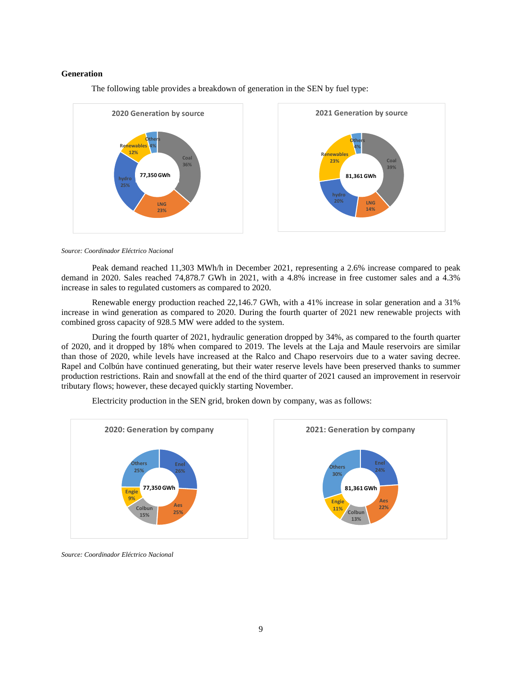### <span id="page-8-0"></span>**Generation**

The following table provides a breakdown of generation in the SEN by fuel type:



*Source: Coordinador Eléctrico Nacional*

Peak demand reached 11,303 MWh/h in December 2021, representing a 2.6% increase compared to peak demand in 2020. Sales reached 74,878.7 GWh in 2021, with a 4.8% increase in free customer sales and a 4.3% increase in sales to regulated customers as compared to 2020.

Renewable energy production reached 22,146.7 GWh, with a 41% increase in solar generation and a 31% increase in wind generation as compared to 2020. During the fourth quarter of 2021 new renewable projects with combined gross capacity of 928.5 MW were added to the system.

During the fourth quarter of 2021, hydraulic generation dropped by 34%, as compared to the fourth quarter of 2020, and it dropped by 18% when compared to 2019. The levels at the Laja and Maule reservoirs are similar than those of 2020, while levels have increased at the Ralco and Chapo reservoirs due to a water saving decree. Rapel and Colbún have continued generating, but their water reserve levels have been preserved thanks to summer production restrictions. Rain and snowfall at the end of the third quarter of 2021 caused an improvement in reservoir tributary flows; however, these decayed quickly starting November.

**26% Aes 25% Colbun 15% Engie 9% Others 25% 2020: Generation by company 77,350 GWh 24% Aes 22% Colbun 13% Engie 11% Others 30% 2021: Generation by company 81,361 GWh**

Electricity production in the SEN grid, broken down by company, was as follows:

*Source: Coordinador Eléctrico Nacional*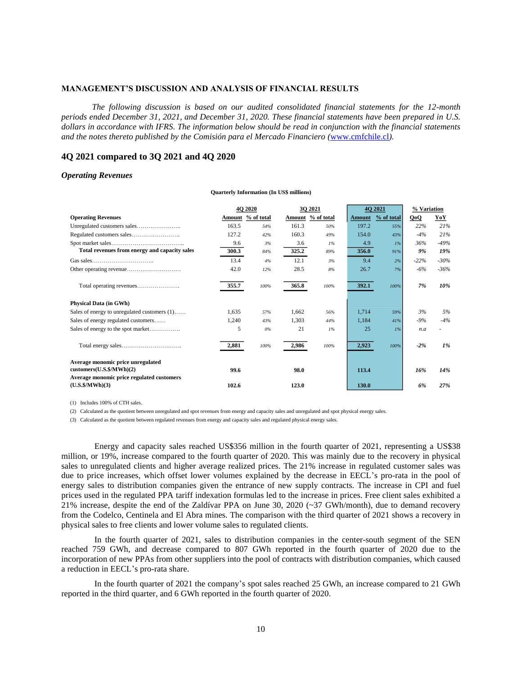### <span id="page-9-0"></span>**MANAGEMENT'S DISCUSSION AND ANALYSIS OF FINANCIAL RESULTS**

*The following discussion is based on our audited consolidated financial statements for the 12-month periods ended December 31, 2021, and December 31, 2020. These financial statements have been prepared in U.S. dollars in accordance with IFRS. The information below should be read in conjunction with the financial statements and the notes thereto published by the Comisión para el Mercado Financiero (*[www.cmfchile.cl](http://www.cmfchile.cl/)*).*

# <span id="page-9-1"></span>**4Q 2021 compared to 3Q 2021 and 4Q 2020**

#### <span id="page-9-2"></span>*Operating Revenues*

|       | 4Q 2020 |                   | 3Q 2021           |        | 4Q 2021    | % Variation |        |
|-------|---------|-------------------|-------------------|--------|------------|-------------|--------|
|       |         |                   | Amount % of total | Amount | % of total | QoQ         | YoY    |
| 163.5 | 54%     | 161.3             | 50%               | 197.2  | 55%        | 22%         | 21%    |
| 127.2 | 42%     | 160.3             | 49%               | 154.0  | 43%        | $-4%$       | 21%    |
| 9.6   | 3%      | 3.6               | 1%                | 4.9    | $1\%$      | 36%         | $-49%$ |
| 300.3 | 84%     | 325.2             | 89%               | 356.0  | 91%        | 9%          | 19%    |
| 13.4  | 4%      | 12.1              | 3%                | 9.4    | 2%         | $-22%$      | $-30%$ |
| 42.0  | 12%     | 28.5              | 8%                | 26.7   | 7%         | $-6%$       | $-36%$ |
| 355.7 | 100%    | 365.8             | 100%              | 392.1  | 100%       | 7%          | 10%    |
|       |         |                   |                   |        |            |             |        |
| 1.635 | 57%     | 1.662             | 56%               | 1.714  | 59%        | 3%          | 5%     |
| 1.240 | 43%     | 1,303             | 44%               | 1.184  | 41%        | $-9%$       | $-4%$  |
| 5     | $0\%$   | 21                | $1\%$             | 25     | $1\%$      | n.a         |        |
| 2,881 | 100%    | 2,986             | 100%              | 2,923  | 100%       | $-2%$       | $1\%$  |
|       |         |                   |                   |        |            |             |        |
| 99.6  |         | 98.0              |                   | 113.4  |            | 16%         | 14%    |
|       |         |                   |                   |        |            |             | 27%    |
|       | 102.6   | Amount % of total | 123.0             |        | 130.0      |             | 6%     |

**Quarterly Information (In US\$ millions)**

(1) Includes 100% of CTH sales.

(2) Calculated as the quotient between unregulated and spot revenues from energy and capacity sales and unregulated and spot physical energy sales.

(3) Calculated as the quotient between regulated revenues from energy and capacity sales and regulated physical energy sales.

Energy and capacity sales reached US\$356 million in the fourth quarter of 2021, representing a US\$38 million, or 19%, increase compared to the fourth quarter of 2020. This was mainly due to the recovery in physical sales to unregulated clients and higher average realized prices. The 21% increase in regulated customer sales was due to price increases, which offset lower volumes explained by the decrease in EECL's pro-rata in the pool of energy sales to distribution companies given the entrance of new supply contracts. The increase in CPI and fuel prices used in the regulated PPA tariff indexation formulas led to the increase in prices. Free client sales exhibited a 21% increase, despite the end of the Zaldívar PPA on June 30, 2020 (~37 GWh/month), due to demand recovery from the Codelco, Centinela and El Abra mines. The comparison with the third quarter of 2021 shows a recovery in physical sales to free clients and lower volume sales to regulated clients.

In the fourth quarter of 2021, sales to distribution companies in the center-south segment of the SEN reached 759 GWh, and decrease compared to 807 GWh reported in the fourth quarter of 2020 due to the incorporation of new PPAs from other suppliers into the pool of contracts with distribution companies, which caused a reduction in EECL's pro-rata share.

In the fourth quarter of 2021 the company's spot sales reached 25 GWh, an increase compared to 21 GWh reported in the third quarter, and 6 GWh reported in the fourth quarter of 2020.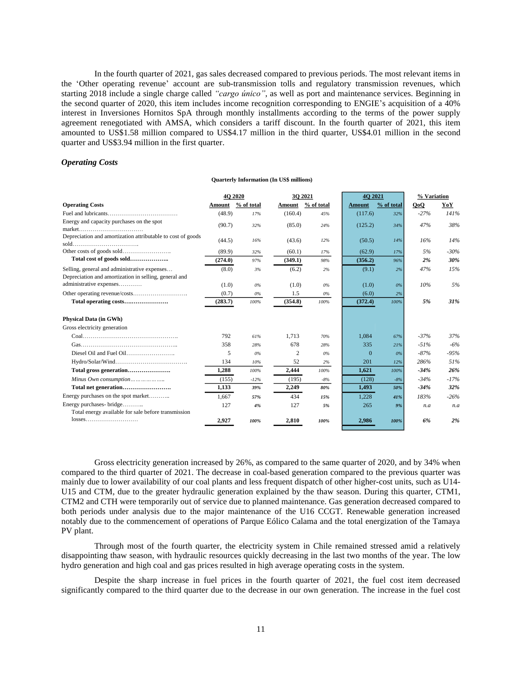In the fourth quarter of 2021, gas sales decreased compared to previous periods. The most relevant items in the 'Other operating revenue' account are sub-transmission tolls and regulatory transmission revenues, which starting 2018 include a single charge called *"cargo único"*, as well as port and maintenance services. Beginning in the second quarter of 2020, this item includes income recognition corresponding to ENGIE's acquisition of a 40% interest in Inversiones Hornitos SpA through monthly installments according to the terms of the power supply agreement renegotiated with AMSA, which considers a tariff discount. In the fourth quarter of 2021, this item amounted to US\$1.58 million compared to US\$4.17 million in the third quarter, US\$4.01 million in the second quarter and US\$3.94 million in the first quarter.

### <span id="page-10-0"></span>*Operating Costs*

| <b>Quarterly Information (In US\$ millions)</b> |  |  |  |  |  |
|-------------------------------------------------|--|--|--|--|--|
|-------------------------------------------------|--|--|--|--|--|

|                                                                                                       |         | <b>4O 2020</b> |                | 30 20 21   | 4O 2021       |            | % Variation |        |
|-------------------------------------------------------------------------------------------------------|---------|----------------|----------------|------------|---------------|------------|-------------|--------|
| <b>Operating Costs</b>                                                                                | Amount  | % of total     | Amount         | % of total | <b>Amount</b> | % of total | QoQ         | YoY    |
|                                                                                                       | (48.9)  | 17%            | (160.4)        | 45%        | (117.6)       | 32%        | $-27%$      | 141%   |
| Energy and capacity purchases on the spot<br>market                                                   | (90.7)  | 32%            | (85.0)         | 24%        | (125.2)       | 34%        | 47%         | 38%    |
| Depreciation and amortization attributable to cost of goods                                           | (44.5)  | 16%            | (43.6)         | 12%        | (50.5)        | 14%        | 16%         | 14%    |
|                                                                                                       | (89.9)  | 32%            | (60.1)         | 17%        | (62.9)        | 17%        | 5%          | $-30%$ |
| Total cost of goods sold                                                                              | (274.0) | 97%            | (349.1)        | 98%        | (356.2)       | 96%        | 2%          | 30%    |
| Selling, general and administrative expenses<br>Depreciation and amortization in selling, general and | (8.0)   | 3%             | (6.2)          | 2%         | (9.1)         | 2%         | 47%         | 15%    |
| administrative expenses                                                                               | (1.0)   | 0%             | (1.0)          | $0\%$      | (1.0)         | $0\%$      | 10%         | 5%     |
|                                                                                                       | (0.7)   | 0%             | 1.5            | $0\%$      | (6.0)         | 2%         |             |        |
|                                                                                                       | (283.7) | 100%           | (354.8)        | 100%       | (372.4)       | 100%       | 5%          | 31%    |
| <b>Physical Data (in GWh)</b>                                                                         |         |                |                |            |               |            |             |        |
| Gross electricity generation                                                                          |         |                |                |            |               |            |             |        |
|                                                                                                       | 792     | 61%            | 1.713          | 70%        | 1.084         | 67%        | $-37%$      | 37%    |
|                                                                                                       | 358     | 28%            | 678            | 28%        | 335           | 21%        | $-51%$      | $-6%$  |
|                                                                                                       | 5       | 0%             | $\overline{2}$ | 0%         | $\Omega$      | $0\%$      | $-87%$      | $-95%$ |
|                                                                                                       | 134     | 10%            | 52             | 2%         | 201           | 12%        | 286%        | 51%    |
| Total gross generation                                                                                | 1,288   | 100%           | 2,444          | 100%       | 1,621         | 100%       | $-34%$      | 26%    |
| Minus Own consumption                                                                                 | (155)   | $-12%$         | (195)          | $-8%$      | (128)         | $-8%$      | $-34%$      | $-17%$ |
|                                                                                                       | 1.133   | 39%            | 2,249          | 80%        | 1.493         | 50%        | $-34%$      | 32%    |
| Energy purchases on the spot market                                                                   | 1,667   | 57%            | 434            | 15%        | 1.228         | 41%        | 183%        | $-26%$ |
| Energy purchases- bridge                                                                              | 127     | 4%             | 127            | 5%         | 265           | 9%         | n.a         | n.a    |
| Total energy available for sale before transmission                                                   |         |                |                |            |               |            |             |        |
|                                                                                                       | 2,927   | 100%           | 2,810          | 100%       | 2.986         | 100%       | 6%          | 2%     |

Gross electricity generation increased by 26%, as compared to the same quarter of 2020, and by 34% when compared to the third quarter of 2021. The decrease in coal-based generation compared to the previous quarter was mainly due to lower availability of our coal plants and less frequent dispatch of other higher-cost units, such as U14- U15 and CTM, due to the greater hydraulic generation explained by the thaw season. During this quarter, CTM1, CTM2 and CTH were temporarily out of service due to planned maintenance. Gas generation decreased compared to both periods under analysis due to the major maintenance of the U16 CCGT. Renewable generation increased notably due to the commencement of operations of Parque Eólico Calama and the total energization of the Tamaya PV plant.

Through most of the fourth quarter, the electricity system in Chile remained stressed amid a relatively disappointing thaw season, with hydraulic resources quickly decreasing in the last two months of the year. The low hydro generation and high coal and gas prices resulted in high average operating costs in the system.

Despite the sharp increase in fuel prices in the fourth quarter of 2021, the fuel cost item decreased significantly compared to the third quarter due to the decrease in our own generation. The increase in the fuel cost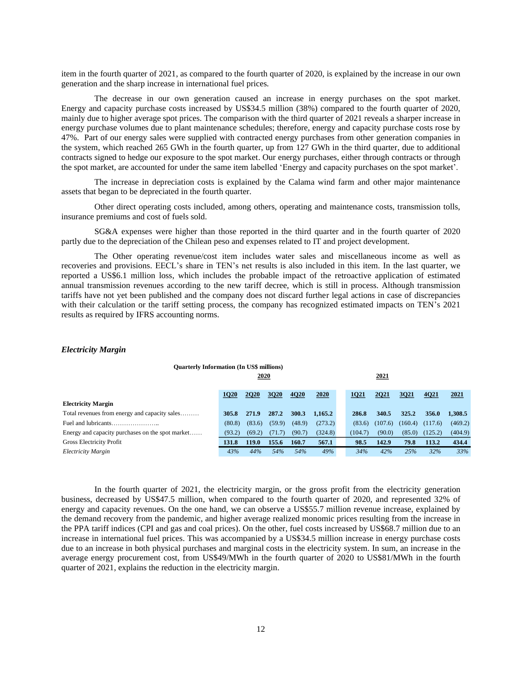item in the fourth quarter of 2021, as compared to the fourth quarter of 2020, is explained by the increase in our own generation and the sharp increase in international fuel prices.

The decrease in our own generation caused an increase in energy purchases on the spot market. Energy and capacity purchase costs increased by US\$34.5 million (38%) compared to the fourth quarter of 2020, mainly due to higher average spot prices. The comparison with the third quarter of 2021 reveals a sharper increase in energy purchase volumes due to plant maintenance schedules; therefore, energy and capacity purchase costs rose by 47%. Part of our energy sales were supplied with contracted energy purchases from other generation companies in the system, which reached 265 GWh in the fourth quarter, up from 127 GWh in the third quarter, due to additional contracts signed to hedge our exposure to the spot market. Our energy purchases, either through contracts or through the spot market, are accounted for under the same item labelled 'Energy and capacity purchases on the spot market'.

The increase in depreciation costs is explained by the Calama wind farm and other major maintenance assets that began to be depreciated in the fourth quarter.

Other direct operating costs included, among others, operating and maintenance costs, transmission tolls, insurance premiums and cost of fuels sold.

SG&A expenses were higher than those reported in the third quarter and in the fourth quarter of 2020 partly due to the depreciation of the Chilean peso and expenses related to IT and project development.

The Other operating revenue/cost item includes water sales and miscellaneous income as well as recoveries and provisions. EECL's share in TEN's net results is also included in this item. In the last quarter, we reported a US\$6.1 million loss, which includes the probable impact of the retroactive application of estimated annual transmission revenues according to the new tariff decree, which is still in process. Although transmission tariffs have not yet been published and the company does not discard further legal actions in case of discrepancies with their calculation or the tariff setting process, the company has recognized estimated impacts on TEN's 2021 results as required by IFRS accounting norms.

### <span id="page-11-0"></span>*Electricity Margin*

| <b>Quarterly Information (In US\$ millions)</b>  |        |             |        |        |         |  |             |         |         |         |         |
|--------------------------------------------------|--------|-------------|--------|--------|---------|--|-------------|---------|---------|---------|---------|
| 2020                                             |        |             |        |        |         |  |             | 2021    |         |         |         |
|                                                  |        |             |        |        |         |  |             |         |         |         |         |
|                                                  | 1020   | <b>2020</b> | 3020   | 4020   | 2020    |  | <b>1Q21</b> | 2021    | 3021    | 4021    | 2021    |
| <b>Electricity Margin</b>                        |        |             |        |        |         |  |             |         |         |         |         |
| Total revenues from energy and capacity sales    | 305.8  | 271.9       | 287.2  | 300.3  | 1,165.2 |  | 286.8       | 340.5   | 325.2   | 356.0   | 1.308.5 |
|                                                  | (80.8) | (83.6)      | (59.9) | (48.9) | (273.2) |  | (83.6)      | (107.6) | (160.4) | (117.6) | (469.2) |
| Energy and capacity purchases on the spot market | (93.2) | (69.2)      | (71.7) | (90.7) | (324.8) |  | (104.7)     | (90.0)  | (85.0)  | (125.2) | (404.9) |
| <b>Gross Electricity Profit</b>                  | 131.8  | 119.0       | 155.6  | 160.7  | 567.1   |  | 98.5        | 142.9   | 79.8    | 113.2   | 434.4   |
| Electricity Margin                               | 43%    | 44%         | 54%    | 54%    | 49%     |  | 34%         | 42%     | 25%     | 32%     | 33%     |

In the fourth quarter of 2021, the electricity margin, or the gross profit from the electricity generation business, decreased by US\$47.5 million, when compared to the fourth quarter of 2020, and represented 32% of energy and capacity revenues. On the one hand, we can observe a US\$55.7 million revenue increase, explained by the demand recovery from the pandemic, and higher average realized monomic prices resulting from the increase in the PPA tariff indices (CPI and gas and coal prices). On the other, fuel costs increased by US\$68.7 million due to an increase in international fuel prices. This was accompanied by a US\$34.5 million increase in energy purchase costs due to an increase in both physical purchases and marginal costs in the electricity system. In sum, an increase in the average energy procurement cost, from US\$49/MWh in the fourth quarter of 2020 to US\$81/MWh in the fourth quarter of 2021, explains the reduction in the electricity margin.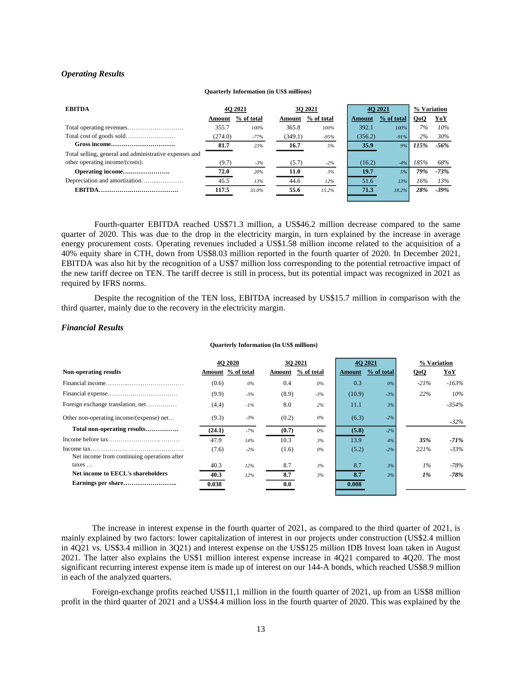### <span id="page-12-0"></span>*Operating Results*

#### **Quarterly Information (in US\$ millions)**

| <b>EBITDA</b>                                          |         | <b>40 2021</b> |         | 30 2021    |         | 40 2021    | % Variation |         |
|--------------------------------------------------------|---------|----------------|---------|------------|---------|------------|-------------|---------|
|                                                        | Amount  | % of total     | Amount  | % of total | Amount  | % of total | QoQ         | YoY     |
|                                                        | 355.7   | 100%           | 365.8   | 100%       | 392.1   | 100%       | 7%          | 10%     |
|                                                        | (274.0) | $-77%$         | (349.1) | $-95%$     | (356.2) | $-91%$     | 2%          | 30%     |
|                                                        | 81.7    | 23%            | 16.7    | 5%         | 35.9    | 9%         | 115%        | $-56%$  |
| Total selling, general and administrative expenses and |         |                |         |            |         |            |             |         |
| other operating income/(costs).                        | (9.7)   | $-3%$          | (5.7)   | $-2\%$     | (16.2)  | $-4%$      | 185%        | 68%     |
|                                                        | 72.0    | 20%            | 11.0    | 3%         | 19.7    | 5%         | 79%         | $-73%$  |
|                                                        | 45.5    | 13%            | 44.6    | 12%        | 51.6    | 13%        | 16%         | 13%     |
|                                                        | 117.5   | 33.0%          | 55.6    | 15.2%      | 71.3    | $18.2\%$   | 28%         | $-39\%$ |

Fourth-quarter EBITDA reached US\$71.3 million, a US\$46.2 million decrease compared to the same quarter of 2020. This was due to the drop in the electricity margin, in turn explained by the increase in average energy procurement costs. Operating revenues included a US\$1.58 million income related to the acquisition of a 40% equity share in CTH, down from US\$8.03 million reported in the fourth quarter of 2020. In December 2021, EBITDA was also hit by the recognition of a US\$7 million loss corresponding to the potential retroactive impact of the new tariff decree on TEN. The tariff decree is still in process, but its potential impact was recognized in 2021 as required by IFRS norms.

Despite the recognition of the TEN loss, EBITDA increased by US\$15.7 million in comparison with the third quarter, mainly due to the recovery in the electricity margin.

#### <span id="page-12-1"></span>*Financial Results*

#### **Quarterly Information (In US\$ millions)**

|                                             |        | <b>40 2020</b>    |       | 30 2021           |        | <b>40 2021</b> | % Variation |         |
|---------------------------------------------|--------|-------------------|-------|-------------------|--------|----------------|-------------|---------|
| Non-operating results                       |        | Amount % of total |       | Amount % of total | Amount | % of total     | QoQ         | YoY     |
|                                             | (0.6)  | 0%                | 0.4   | $0\%$             | 0.3    | 0%             | $-21%$      | $-163%$ |
|                                             | (9.9)  | $-3%$             | (8.9) | $-3%$             | (10.9) | $-3%$          | 22%         | 10%     |
| Foreign exchange translation, net           | (4.4)  | $-1\%$            | 8.0   | 2%                | 11.1   | 3%             |             | $-354%$ |
| Other non-operating income/(expense) net    | (9.3)  | $-3%$             | (0.2) | 0%                | (6.3)  | $-2\%$         |             | $-32\%$ |
| Total non-operating results                 | (24.1) | $-7%$             | (0.7) | 0%                | (5.8)  | $-2%$          |             |         |
|                                             | 47.9   | 14%               | 10.3  | 3%                | 13.9   | 4%             | 35%         | $-71%$  |
| Net income from continuing operations after | (7.6)  | $-2%$             | (1.6) | $0\%$             | (5.2)  | $-2%$          | 221%        | $-33%$  |
| taxes                                       | 40.3   | 12%               | 8.7   | 3%                | 8.7    | 3%             | $1\%$       | $-78%$  |
| Net income to EECL's shareholders           | 40.3   | 12%               | 8.7   | 3%                | 8.7    | 3%             | $1\%$       | $-78%$  |
|                                             | 0.038  |                   | 0.0   |                   | 0.008  |                |             |         |

The increase in interest expense in the fourth quarter of 2021, as compared to the third quarter of 2021, is mainly explained by two factors: lower capitalization of interest in our projects under construction (US\$2.4 million in 4Q21 vs. US\$3.4 million in 3Q21) and interest expense on the US\$125 million IDB Invest loan taken in August 2021. The latter also explains the US\$1 million interest expense increase in 4Q21 compared to 4Q20. The most significant recurring interest expense item is made up of interest on our 144-A bonds, which reached US\$8.9 million in each of the analyzed quarters.

Foreign-exchange profits reached US\$11,1 million in the fourth quarter of 2021, up from an US\$8 million profit in the third quarter of 2021 and a US\$4.4 million loss in the fourth quarter of 2020. This was explained by the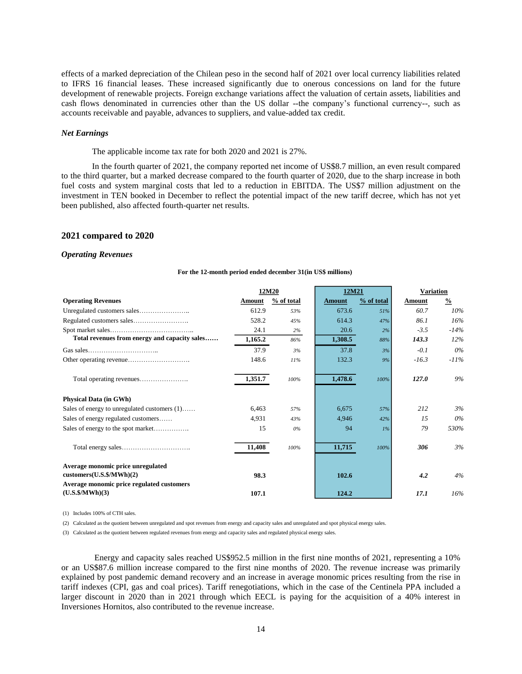effects of a marked depreciation of the Chilean peso in the second half of 2021 over local currency liabilities related to IFRS 16 financial leases. These increased significantly due to onerous concessions on land for the future development of renewable projects. Foreign exchange variations affect the valuation of certain assets, liabilities and cash flows denominated in currencies other than the US dollar --the company's functional currency--, such as accounts receivable and payable, advances to suppliers, and value-added tax credit.

### *Net Earnings*

The applicable income tax rate for both 2020 and 2021 is 27%.

In the fourth quarter of 2021, the company reported net income of US\$8.7 million, an even result compared to the third quarter, but a marked decrease compared to the fourth quarter of 2020, due to the sharp increase in both fuel costs and system marginal costs that led to a reduction in EBITDA. The US\$7 million adjustment on the investment in TEN booked in December to reflect the potential impact of the new tariff decree, which has not yet been published, also affected fourth-quarter net results.

#### <span id="page-13-0"></span>**2021 compared to 2020**

#### <span id="page-13-1"></span>*Operating Revenues*

#### **For the 12-month period ended december 31(in US\$ millions)**

|                                                                       |         | 12M20      | 12M21         |            | <b>Variation</b> |               |  |
|-----------------------------------------------------------------------|---------|------------|---------------|------------|------------------|---------------|--|
| <b>Operating Revenues</b>                                             | Amount  | % of total | <b>Amount</b> | % of total | Amount           | $\frac{0}{0}$ |  |
|                                                                       | 612.9   | 53%        | 673.6         | 51%        | 60.7             | 10%           |  |
|                                                                       | 528.2   | 45%        | 614.3         | 47%        | 86.1             | 16%           |  |
|                                                                       | 24.1    | 2%         | 20.6          | 2%         | $-3.5$           | $-14%$        |  |
| Total revenues from energy and capacity sales                         | 1,165.2 | 86%        | 1,308.5       | 88%        | 143.3            | 12%           |  |
|                                                                       | 37.9    | 3%         | 37.8          | 3%         | $-0.1$           | 0%            |  |
|                                                                       | 148.6   | 11%        | 132.3         | 9%         | $-16.3$          | $-11\%$       |  |
|                                                                       | 1,351.7 | 100%       | 1,478.6       | 100%       | 127.0            | 9%            |  |
| <b>Physical Data (in GWh)</b>                                         |         |            |               |            |                  |               |  |
| Sales of energy to unregulated customers (1)                          | 6,463   | 57%        | 6,675         | 57%        | 212              | 3%            |  |
| Sales of energy regulated customers                                   | 4.931   | 43%        | 4.946         | 42%        | 15               | 0%            |  |
|                                                                       | 15      | 0%         | 94            | $1\%$      | 79               | 530%          |  |
|                                                                       | 11,408  | 100%       | 11,715        | 100%       | 306              | 3%            |  |
| Average monomic price unregulated                                     |         |            |               |            |                  |               |  |
| cutstomers(U.S.S/MWh)(2)<br>Average monomic price regulated customers | 98.3    |            | 102.6         |            | 4.2              | 4%            |  |
| (U.S.S/MWh)(3)                                                        | 107.1   |            | 124.2         |            | 17.1             | 16%           |  |

(1) Includes 100% of CTH sales.

(2) Calculated as the quotient between unregulated and spot revenues from energy and capacity sales and unregulated and spot physical energy sales.

(3) Calculated as the quotient between regulated revenues from energy and capacity sales and regulated physical energy sales.

Energy and capacity sales reached US\$952.5 million in the first nine months of 2021, representing a 10% or an US\$87.6 million increase compared to the first nine months of 2020. The revenue increase was primarily explained by post pandemic demand recovery and an increase in average monomic prices resulting from the rise in tariff indexes (CPI, gas and coal prices). Tariff renegotiations, which in the case of the Centinela PPA included a larger discount in 2020 than in 2021 through which EECL is paying for the acquisition of a 40% interest in Inversiones Hornitos, also contributed to the revenue increase.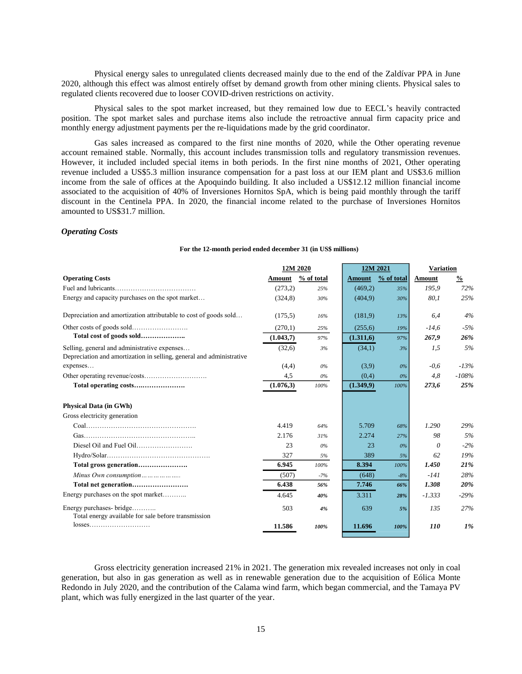Physical energy sales to unregulated clients decreased mainly due to the end of the Zaldívar PPA in June 2020, although this effect was almost entirely offset by demand growth from other mining clients. Physical sales to regulated clients recovered due to looser COVID-driven restrictions on activity.

Physical sales to the spot market increased, but they remained low due to EECL's heavily contracted position. The spot market sales and purchase items also include the retroactive annual firm capacity price and monthly energy adjustment payments per the re-liquidations made by the grid coordinator.

Gas sales increased as compared to the first nine months of 2020, while the Other operating revenue account remained stable. Normally, this account includes transmission tolls and regulatory transmission revenues. However, it included included special items in both periods. In the first nine months of 2021, Other operating revenue included a US\$5.3 million insurance compensation for a past loss at our IEM plant and US\$3.6 million income from the sale of offices at the Apoquindo building. It also included a US\$12.12 million financial income associated to the acquisition of 40% of Inversiones Hornitos SpA, which is being paid monthly through the tariff discount in the Centinela PPA. In 2020, the financial income related to the purchase of Inversiones Hornitos amounted to US\$31.7 million.

### <span id="page-14-0"></span>*Operating Costs*

| For the 12-month period ended december 31 (in US\$ millions) |  |  |
|--------------------------------------------------------------|--|--|
|--------------------------------------------------------------|--|--|

|                                                                      | 12M 2020  |            |               | 12M 2021   | <b>Variation</b> |               |
|----------------------------------------------------------------------|-----------|------------|---------------|------------|------------------|---------------|
| <b>Operating Costs</b>                                               | Amount    | % of total | <b>Amount</b> | % of total | Amount           | $\frac{0}{0}$ |
|                                                                      | (273,2)   | 25%        | (469,2)       | 35%        | 195,9            | 72%           |
| Energy and capacity purchases on the spot market                     | (324,8)   | 30%        | (404.9)       | 30%        | 80,1             | 25%           |
| Depreciation and amortization attributable to cost of goods sold     | (175.5)   | 16%        | (181.9)       | 13%        | 6,4              | 4%            |
|                                                                      | (270,1)   | 25%        | (255,6)       | 19%        | $-14.6$          | $-5%$         |
| Total cost of goods sold                                             | (1.043,7) | 97%        | (1.311,6)     | 97%        | 267,9            | 26%           |
| Selling, general and administrative expenses                         | (32,6)    | 3%         | (34,1)        | 3%         | 1,5              | 5%            |
| Depreciation and amortization in selling, general and administrative |           |            |               |            |                  |               |
| expenses                                                             | (4,4)     | 0%         | (3,9)         | 0%         | $-0.6$           | $-13%$        |
|                                                                      | 4,5       | $0\%$      | (0,4)         | $0\%$      | 4.8              | $-108%$       |
|                                                                      | (1.076,3) | 100%       | (1.349.9)     | 100%       | 273,6            | 25%           |
| <b>Physical Data (in GWh)</b>                                        |           |            |               |            |                  |               |
| Gross electricity generation                                         |           |            |               |            |                  |               |
|                                                                      | 4.419     | 64%        | 5.709         | 68%        | 1.290            | 29%           |
|                                                                      | 2.176     | 31%        | 2.274         | 27%        | 98               | 5%            |
|                                                                      | 23        | $0\%$      | 23            | $0\%$      | 0                | $-2\%$        |
|                                                                      | 327       | 5%         | 389           | 5%         | 62               | 19%           |
| Total gross generation                                               | 6.945     | 100%       | 8.394         | 100%       | 1.450            | 21%           |
|                                                                      | (507)     | $-7%$      | (648)         | $-8%$      | $-141$           | 28%           |
|                                                                      | 6.438     | 56%        | 7.746         | 66%        | 1.308            | 20%           |
| Energy purchases on the spot market                                  | 4.645     | 40%        | 3.311         | 28%        | $-1.333$         | $-29%$        |
| Energy purchases- bridge                                             | 503       | 4%         | 639           | 5%         | 135              | 27%           |
| Total energy available for sale before transmission                  |           |            |               |            |                  |               |
|                                                                      | 11.586    | 100%       | 11.696        | 100%       | 110              | $1\%$         |

Gross electricity generation increased 21% in 2021. The generation mix revealed increases not only in coal generation, but also in gas generation as well as in renewable generation due to the acquisition of Eólica Monte Redondo in July 2020, and the contribution of the Calama wind farm, which began commercial, and the Tamaya PV plant, which was fully energized in the last quarter of the year.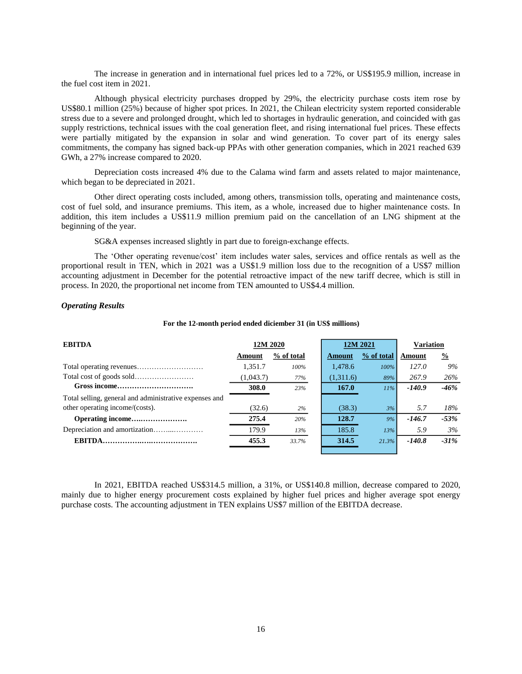The increase in generation and in international fuel prices led to a 72%, or US\$195.9 million, increase in the fuel cost item in 2021.

Although physical electricity purchases dropped by 29%, the electricity purchase costs item rose by US\$80.1 million (25%) because of higher spot prices. In 2021, the Chilean electricity system reported considerable stress due to a severe and prolonged drought, which led to shortages in hydraulic generation, and coincided with gas supply restrictions, technical issues with the coal generation fleet, and rising international fuel prices. These effects were partially mitigated by the expansion in solar and wind generation. To cover part of its energy sales commitments, the company has signed back-up PPAs with other generation companies, which in 2021 reached 639 GWh, a 27% increase compared to 2020.

Depreciation costs increased 4% due to the Calama wind farm and assets related to major maintenance, which began to be depreciated in 2021.

Other direct operating costs included, among others, transmission tolls, operating and maintenance costs, cost of fuel sold, and insurance premiums. This item, as a whole, increased due to higher maintenance costs. In addition, this item includes a US\$11.9 million premium paid on the cancellation of an LNG shipment at the beginning of the year.

SG&A expenses increased slightly in part due to foreign-exchange effects.

The 'Other operating revenue/cost' item includes water sales, services and office rentals as well as the proportional result in TEN, which in 2021 was a US\$1.9 million loss due to the recognition of a US\$7 million accounting adjustment in December for the potential retroactive impact of the new tariff decree, which is still in process. In 2020, the proportional net income from TEN amounted to US\$4.4 million.

### <span id="page-15-0"></span>*Operating Results*

#### **For the 12-month period ended diciember 31 (in US\$ millions)**

| <b>EBITDA</b>                                          | 12M 2020  |            |               | 12M 2021   | <b>Variation</b> |               |  |
|--------------------------------------------------------|-----------|------------|---------------|------------|------------------|---------------|--|
|                                                        | Amount    | % of total | <b>Amount</b> | % of total | Amount           | $\frac{0}{2}$ |  |
|                                                        | 1.351.7   | 100%       | 1,478.6       | 100%       | 127.0            | 9%            |  |
|                                                        | (1,043.7) | 77%        | (1,311.6)     | 89%        | 267.9            | 26%           |  |
|                                                        | 308.0     | 23%        | 167.0         | 11%        | $-140.9$         | $-46%$        |  |
| Total selling, general and administrative expenses and |           |            |               |            |                  |               |  |
| other operating income/(costs).                        | (32.6)    | 2%         | (38.3)        | 3%         | 5.7              | 18%           |  |
|                                                        | 275.4     | 20%        | 128.7         | 9%         | $-146.7$         | $-53%$        |  |
|                                                        | 179.9     | 13%        | 185.8         | 13%        | 5.9              | 3%            |  |
|                                                        | 455.3     | 33.7%      | 314.5         | 21.3%      | $-140.8$         | $-31\%$       |  |
|                                                        |           |            |               |            |                  |               |  |

In 2021, EBITDA reached US\$314.5 million, a 31%, or US\$140.8 million, decrease compared to 2020, mainly due to higher energy procurement costs explained by higher fuel prices and higher average spot energy purchase costs. The accounting adjustment in TEN explains US\$7 million of the EBITDA decrease.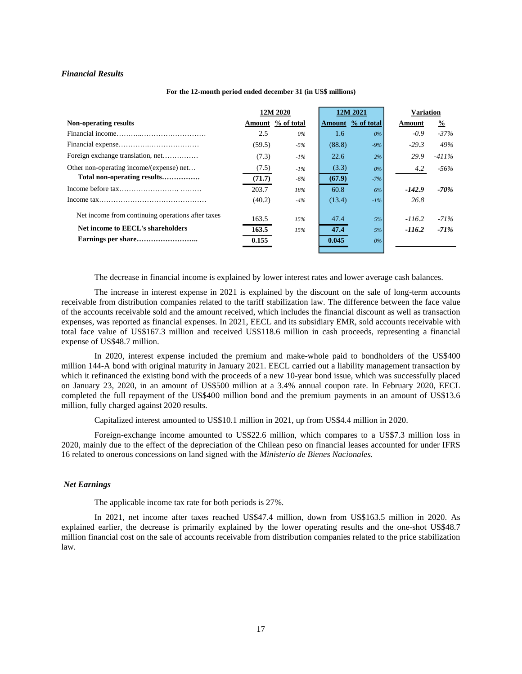### <span id="page-16-0"></span>*Financial Results*

|                                                   | 12M 2020 |                   |        | 12M 2021          | <b>Variation</b> |               |
|---------------------------------------------------|----------|-------------------|--------|-------------------|------------------|---------------|
| Non-operating results                             |          | Amount % of total |        | Amount % of total | Amount           | $\frac{0}{2}$ |
|                                                   | 2.5      | 0%                | 1.6    | $0\%$             | $-0.9$           | $-37\%$       |
|                                                   | (59.5)   | $-5\%$            | (88.8) | $-9%$             | $-29.3$          | 49%           |
| Foreign exchange translation, net                 | (7.3)    | $-1\%$            | 22.6   | 2%                | 29.9             | $-411\%$      |
| Other non-operating income/(expense) net          | (7.5)    | $-1\%$            | (3.3)  | $0\%$             | 4.2              | $-56\%$       |
| Total non-operating results                       | (71.7)   | $-6\%$            | (67.9) | $-7%$             |                  |               |
|                                                   | 203.7    | 18%               | 60.8   | 6%                | $-142.9$         | -70%          |
|                                                   | (40.2)   | $-4%$             | (13.4) | $-1\%$            | 26.8             |               |
| Net income from continuing operations after taxes | 163.5    | 15%               | 47.4   | 5%                | $-116.2$         | $-71%$        |
| Net income to EECL's shareholders                 | 163.5    | 15%               | 47.4   | 5%                | $-116.2$         | $-71%$        |
|                                                   | 0.155    |                   | 0.045  | $0\%$             |                  |               |
|                                                   |          |                   |        |                   |                  |               |

#### **For the 12-month period ended december 31 (in US\$ millions)**

The decrease in financial income is explained by lower interest rates and lower average cash balances.

The increase in interest expense in 2021 is explained by the discount on the sale of long-term accounts receivable from distribution companies related to the tariff stabilization law. The difference between the face value of the accounts receivable sold and the amount received, which includes the financial discount as well as transaction expenses, was reported as financial expenses. In 2021, EECL and its subsidiary EMR, sold accounts receivable with total face value of US\$167.3 million and received US\$118.6 million in cash proceeds, representing a financial expense of US\$48.7 million.

In 2020, interest expense included the premium and make-whole paid to bondholders of the US\$400 million 144-A bond with original maturity in January 2021. EECL carried out a liability management transaction by which it refinanced the existing bond with the proceeds of a new 10-year bond issue, which was successfully placed on January 23, 2020, in an amount of US\$500 million at a 3.4% annual coupon rate. In February 2020, EECL completed the full repayment of the US\$400 million bond and the premium payments in an amount of US\$13.6 million, fully charged against 2020 results.

Capitalized interest amounted to US\$10.1 million in 2021, up from US\$4.4 million in 2020.

Foreign-exchange income amounted to US\$22.6 million, which compares to a US\$7.3 million loss in 2020, mainly due to the effect of the depreciation of the Chilean peso on financial leases accounted for under IFRS 16 related to onerous concessions on land signed with the *Ministerio de Bienes Nacionales.*

### *Net Earnings*

The applicable income tax rate for both periods is 27%.

In 2021, net income after taxes reached US\$47.4 million, down from US\$163.5 million in 2020. As explained earlier, the decrease is primarily explained by the lower operating results and the one-shot US\$48.7 million financial cost on the sale of accounts receivable from distribution companies related to the price stabilization law.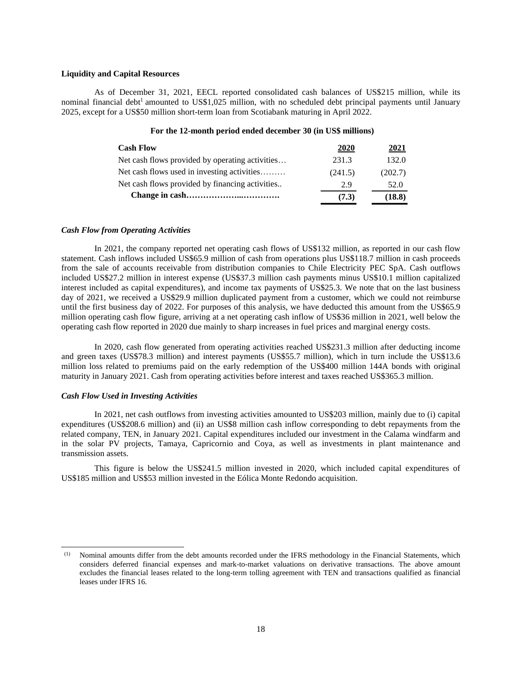### <span id="page-17-0"></span>**Liquidity and Capital Resources**

As of December 31, 2021, EECL reported consolidated cash balances of US\$215 million, while its nominal financial debt<sup>1</sup> amounted to US\$1,025 million, with no scheduled debt principal payments until January 2025, except for a US\$50 million short-term loan from Scotiabank maturing in April 2022.

# **For the 12-month period ended december 30 (in US\$ millions)**

| <b>Cash Flow</b>                                | 2020    | 2021    |
|-------------------------------------------------|---------|---------|
| Net cash flows provided by operating activities | 231.3   | 132.0   |
| Net cash flows used in investing activities     | (241.5) | (202.7) |
| Net cash flows provided by financing activities | 2.9     | 52.0    |
|                                                 | (7.3)   | (18.8)  |

### <span id="page-17-1"></span>*Cash Flow from Operating Activities*

In 2021, the company reported net operating cash flows of US\$132 million, as reported in our cash flow statement. Cash inflows included US\$65.9 million of cash from operations plus US\$118.7 million in cash proceeds from the sale of accounts receivable from distribution companies to Chile Electricity PEC SpA. Cash outflows included US\$27.2 million in interest expense (US\$37.3 million cash payments minus US\$10.1 million capitalized interest included as capital expenditures), and income tax payments of US\$25.3. We note that on the last business day of 2021, we received a US\$29.9 million duplicated payment from a customer, which we could not reimburse until the first business day of 2022. For purposes of this analysis, we have deducted this amount from the US\$65.9 million operating cash flow figure, arriving at a net operating cash inflow of US\$36 million in 2021, well below the operating cash flow reported in 2020 due mainly to sharp increases in fuel prices and marginal energy costs.

In 2020, cash flow generated from operating activities reached US\$231.3 million after deducting income and green taxes (US\$78.3 million) and interest payments (US\$55.7 million), which in turn include the US\$13.6 million loss related to premiums paid on the early redemption of the US\$400 million 144A bonds with original maturity in January 2021. Cash from operating activities before interest and taxes reached US\$365.3 million.

### <span id="page-17-2"></span>*Cash Flow Used in Investing Activities*

In 2021, net cash outflows from investing activities amounted to US\$203 million, mainly due to (i) capital expenditures (US\$208.6 million) and (ii) an US\$8 million cash inflow corresponding to debt repayments from the related company, TEN, in January 2021. Capital expenditures included our investment in the Calama windfarm and in the solar PV projects, Tamaya, Capricornio and Coya, as well as investments in plant maintenance and transmission assets.

This figure is below the US\$241.5 million invested in 2020, which included capital expenditures of US\$185 million and US\$53 million invested in the Eólica Monte Redondo acquisition.

<sup>(1)</sup> Nominal amounts differ from the debt amounts recorded under the IFRS methodology in the Financial Statements, which considers deferred financial expenses and mark-to-market valuations on derivative transactions. The above amount excludes the financial leases related to the long-term tolling agreement with TEN and transactions qualified as financial leases under IFRS 16.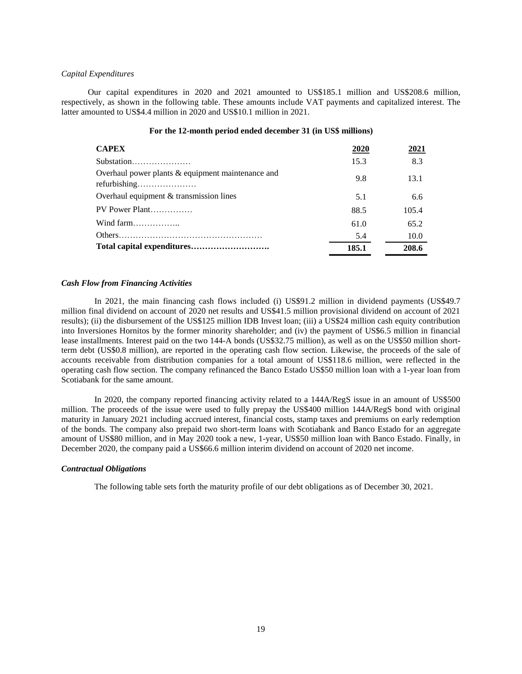### *Capital Expenditures*

Our capital expenditures in 2020 and 2021 amounted to US\$185.1 million and US\$208.6 million, respectively, as shown in the following table. These amounts include VAT payments and capitalized interest. The latter amounted to US\$4.4 million in 2020 and US\$10.1 million in 2021.

| <b>CAPEX</b>                                                        | 2020  | 2021  |
|---------------------------------------------------------------------|-------|-------|
| Substation                                                          | 15.3  | 8.3   |
| Overhaul power plants $&$ equipment maintenance and<br>refurbishing | 9.8   | 13.1  |
| Overhaul equipment & transmission lines                             | 5.1   | 6.6   |
| PV Power Plant                                                      | 88.5  | 105.4 |
| Wind farm                                                           | 61.0  | 65.2  |
|                                                                     | 5.4   | 10.0  |
|                                                                     | 185.1 | 208.6 |

# **For the 12-month period ended december 31 (in US\$ millions)**

### <span id="page-18-0"></span>*Cash Flow from Financing Activities*

In 2021, the main financing cash flows included (i) US\$91.2 million in dividend payments (US\$49.7 million final dividend on account of 2020 net results and US\$41.5 million provisional dividend on account of 2021 results); (ii) the disbursement of the US\$125 million IDB Invest loan; (iii) a US\$24 million cash equity contribution into Inversiones Hornitos by the former minority shareholder; and (iv) the payment of US\$6.5 million in financial lease installments. Interest paid on the two 144-A bonds (US\$32.75 million), as well as on the US\$50 million shortterm debt (US\$0.8 million), are reported in the operating cash flow section. Likewise, the proceeds of the sale of accounts receivable from distribution companies for a total amount of US\$118.6 million, were reflected in the operating cash flow section. The company refinanced the Banco Estado US\$50 million loan with a 1-year loan from Scotiabank for the same amount.

In 2020, the company reported financing activity related to a 144A/RegS issue in an amount of US\$500 million. The proceeds of the issue were used to fully prepay the US\$400 million 144A/RegS bond with original maturity in January 2021 including accrued interest, financial costs, stamp taxes and premiums on early redemption of the bonds. The company also prepaid two short-term loans with Scotiabank and Banco Estado for an aggregate amount of US\$80 million, and in May 2020 took a new, 1-year, US\$50 million loan with Banco Estado. Finally, in December 2020, the company paid a US\$66.6 million interim dividend on account of 2020 net income.

### <span id="page-18-1"></span>*Contractual Obligations*

The following table sets forth the maturity profile of our debt obligations as of December 30, 2021.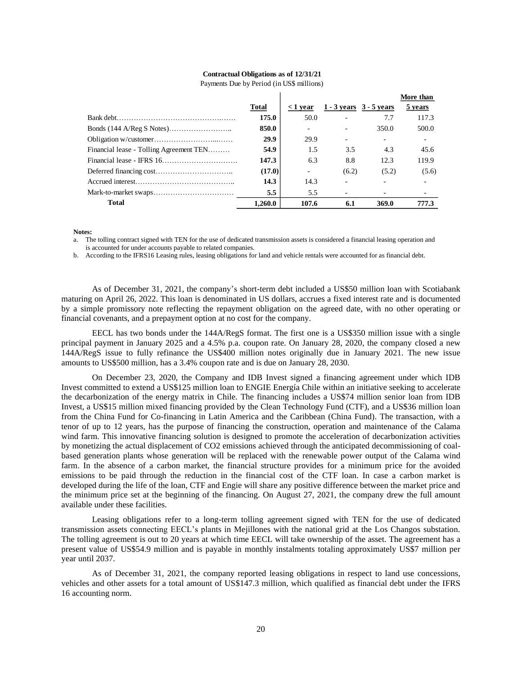### **Contractual Obligations as of 12/31/21**

|                                         |              |                          |       |                             | More than |
|-----------------------------------------|--------------|--------------------------|-------|-----------------------------|-----------|
|                                         | <b>Total</b> | $\langle 1 \rangle$ vear |       | $1 - 3$ vears $3 - 5$ vears | 5 years   |
|                                         | 175.0        | 50.0                     |       | 7.7                         | 117.3     |
|                                         | 850.0        |                          |       | 350.0                       | 500.0     |
|                                         | 29.9         | 29.9                     |       |                             |           |
| Financial lease - Tolling Agreement TEN | 54.9         | 1.5                      | 3.5   | 4.3                         | 45.6      |
|                                         | 147.3        | 6.3                      | 8.8   | 12.3                        | 119.9     |
|                                         | (17.0)       |                          | (6.2) | (5.2)                       | (5.6)     |
|                                         | 14.3         | 14.3                     |       |                             |           |
|                                         | 5.5          | 5.5                      |       |                             |           |
| <b>Total</b>                            | 1.260.0      | 107.6                    | 6.1   | 369.0                       | 777.3     |

Payments Due by Period (in US\$ millions)

**Notes:**

a. The tolling contract signed with TEN for the use of dedicated transmission assets is considered a financial leasing operation and is accounted for under accounts payable to related companies.

b. According to the IFRS16 Leasing rules, leasing obligations for land and vehicle rentals were accounted for as financial debt.

As of December 31, 2021, the company's short-term debt included a US\$50 million loan with Scotiabank maturing on April 26, 2022. This loan is denominated in US dollars, accrues a fixed interest rate and is documented by a simple promissory note reflecting the repayment obligation on the agreed date, with no other operating or financial covenants, and a prepayment option at no cost for the company.

EECL has two bonds under the 144A/RegS format. The first one is a US\$350 million issue with a single principal payment in January 2025 and a 4.5% p.a. coupon rate. On January 28, 2020, the company closed a new 144A/RegS issue to fully refinance the US\$400 million notes originally due in January 2021. The new issue amounts to US\$500 million, has a 3.4% coupon rate and is due on January 28, 2030.

**101al**  $\leq$ **1 vear 1 - 3 years 3 - 5 years**<br> **175.0 50.0** <br> **20 9** <br> **20 9** <br> **20 9** <br> **20 9** <br> **20 9** <br> **175.0 20 9** <br> **18 13** <br> **16.3** <br> **147.3** <br> **6.3** <br> **8.8** <br> **12.3** <br> **147.3** <br> **6.3** <br> **8.8** <br> **12.3** <br> **1** On December 23, 2020, the Company and IDB Invest signed a financing agreement under which IDB Invest committed to extend a US\$125 million loan to ENGIE Energía Chile within an initiative seeking to accelerate the decarbonization of the energy matrix in Chile. The financing includes a US\$74 million senior loan from IDB Invest, a US\$15 million mixed financing provided by the Clean Technology Fund (CTF), and a US\$36 million loan from the China Fund for Co-financing in Latin America and the Caribbean (China Fund). The transaction, with a tenor of up to 12 years, has the purpose of financing the construction, operation and maintenance of the Calama wind farm. This innovative financing solution is designed to promote the acceleration of decarbonization activities by monetizing the actual displacement of CO2 emissions achieved through the anticipated decommissioning of coalbased generation plants whose generation will be replaced with the renewable power output of the Calama wind farm. In the absence of a carbon market, the financial structure provides for a minimum price for the avoided emissions to be paid through the reduction in the financial cost of the CTF loan. In case a carbon market is developed during the life of the loan, CTF and Engie will share any positive difference between the market price and the minimum price set at the beginning of the financing. On August 27, 2021, the company drew the full amount available under these facilities.

Leasing obligations refer to a long-term tolling agreement signed with TEN for the use of dedicated transmission assets connecting EECL's plants in Mejillones with the national grid at the Los Changos substation. The tolling agreement is out to 20 years at which time EECL will take ownership of the asset. The agreement has a present value of US\$54.9 million and is payable in monthly instalments totaling approximately US\$7 million per year until 2037.

As of December 31, 2021, the company reported leasing obligations in respect to land use concessions, vehicles and other assets for a total amount of US\$147.3 million, which qualified as financial debt under the IFRS 16 accounting norm.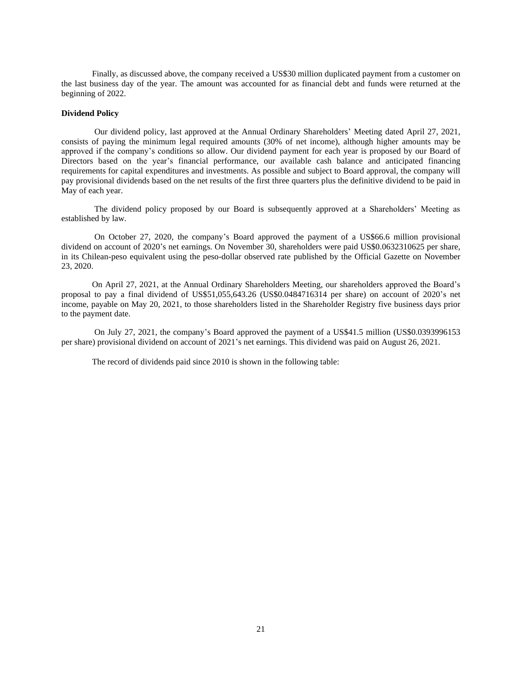Finally, as discussed above, the company received a US\$30 million duplicated payment from a customer on the last business day of the year. The amount was accounted for as financial debt and funds were returned at the beginning of 2022.

### <span id="page-20-0"></span>**Dividend Policy**

Our dividend policy, last approved at the Annual Ordinary Shareholders' Meeting dated April 27, 2021, consists of paying the minimum legal required amounts (30% of net income), although higher amounts may be approved if the company's conditions so allow. Our dividend payment for each year is proposed by our Board of Directors based on the year's financial performance, our available cash balance and anticipated financing requirements for capital expenditures and investments. As possible and subject to Board approval, the company will pay provisional dividends based on the net results of the first three quarters plus the definitive dividend to be paid in May of each year.

The dividend policy proposed by our Board is subsequently approved at a Shareholders' Meeting as established by law.

On October 27, 2020, the company's Board approved the payment of a US\$66.6 million provisional dividend on account of 2020's net earnings. On November 30, shareholders were paid US\$0.0632310625 per share, in its Chilean-peso equivalent using the peso-dollar observed rate published by the Official Gazette on November 23, 2020.

On April 27, 2021, at the Annual Ordinary Shareholders Meeting, our shareholders approved the Board's proposal to pay a final dividend of US\$51,055,643.26 (US\$0.0484716314 per share) on account of 2020's net income, payable on May 20, 2021, to those shareholders listed in the Shareholder Registry five business days prior to the payment date.

On July 27, 2021, the company's Board approved the payment of a US\$41.5 million (US\$0.0393996153 per share) provisional dividend on account of 2021's net earnings. This dividend was paid on August 26, 2021.

The record of dividends paid since 2010 is shown in the following table: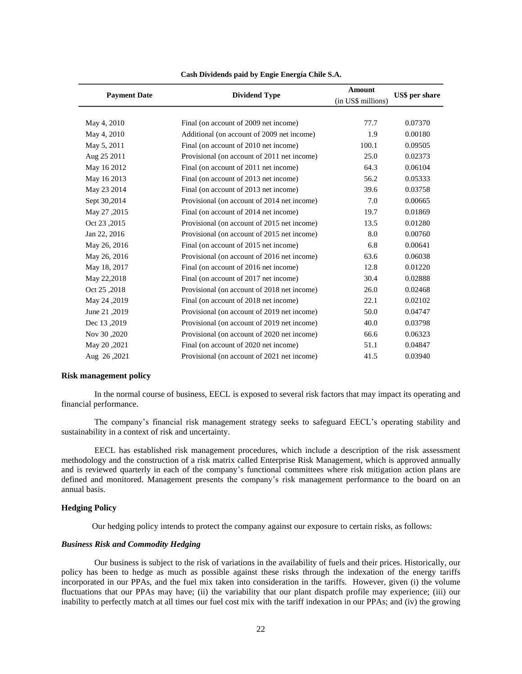| <b>Payment Date</b> | <b>Dividend Type</b>                        |       | <b>Amount</b><br>(in US\$ millions) |  |  |  |  |
|---------------------|---------------------------------------------|-------|-------------------------------------|--|--|--|--|
|                     |                                             |       |                                     |  |  |  |  |
| May 4, 2010         | Final (on account of 2009 net income)       | 77.7  | 0.07370                             |  |  |  |  |
| May 4, 2010         | Additional (on account of 2009 net income)  | 1.9   | 0.00180                             |  |  |  |  |
| May 5, 2011         | Final (on account of 2010 net income)       | 100.1 | 0.09505                             |  |  |  |  |
| Aug 25 2011         | Provisional (on account of 2011 net income) | 25.0  | 0.02373                             |  |  |  |  |
| May 16 2012         | Final (on account of 2011 net income)       | 64.3  | 0.06104                             |  |  |  |  |
| May 16 2013         | Final (on account of 2013 net income)       | 56.2  | 0.05333                             |  |  |  |  |
| May 23 2014         | Final (on account of 2013 net income)       | 39.6  | 0.03758                             |  |  |  |  |
| Sept 30,2014        | Provisional (on account of 2014 net income) | 7.0   | 0.00665                             |  |  |  |  |
| May 27, 2015        | Final (on account of 2014 net income)       | 19.7  | 0.01869                             |  |  |  |  |
| Oct 23,2015         | Provisional (on account of 2015 net income) | 13.5  | 0.01280                             |  |  |  |  |
| Jan 22, 2016        | Provisional (on account of 2015 net income) | 8.0   | 0.00760                             |  |  |  |  |
| May 26, 2016        | Final (on account of 2015 net income)       | 6.8   | 0.00641                             |  |  |  |  |
| May 26, 2016        | Provisional (on account of 2016 net income) | 63.6  | 0.06038                             |  |  |  |  |
| May 18, 2017        | Final (on account of 2016 net income)       | 12.8  | 0.01220                             |  |  |  |  |
| May 22,2018         | Final (on account of 2017 net income)       | 30.4  | 0.02888                             |  |  |  |  |
| Oct 25,2018         | Provisional (on account of 2018 net income) | 26.0  | 0.02468                             |  |  |  |  |
| May 24, 2019        | Final (on account of 2018 net income)       | 22.1  | 0.02102                             |  |  |  |  |
| June 21, 2019       | Provisional (on account of 2019 net income) | 50.0  | 0.04747                             |  |  |  |  |
| Dec 13,2019         | Provisional (on account of 2019 net income) | 40.0  | 0.03798                             |  |  |  |  |
| Nov 30,2020         | Provisional (on account of 2020 net income) | 66.6  | 0.06323                             |  |  |  |  |
| May 20, 2021        | Final (on account of 2020 net income)       | 51.1  | 0.04847                             |  |  |  |  |
| Aug 26, 2021        | Provisional (on account of 2021 net income) | 41.5  | 0.03940                             |  |  |  |  |

### **Cash Dividends paid by Engie Energía Chile S.A.**

#### <span id="page-21-0"></span>**Risk management policy**

In the normal course of business, EECL is exposed to several risk factors that may impact its operating and financial performance.

The company's financial risk management strategy seeks to safeguard EECL's operating stability and sustainability in a context of risk and uncertainty.

EECL has established risk management procedures, which include a description of the risk assessment methodology and the construction of a risk matrix called Enterprise Risk Management, which is approved annually and is reviewed quarterly in each of the company's functional committees where risk mitigation action plans are defined and monitored. Management presents the company's risk management performance to the board on an annual basis.

### <span id="page-21-1"></span>**Hedging Policy**

Our hedging policy intends to protect the company against our exposure to certain risks, as follows:

# <span id="page-21-2"></span>*Business Risk and Commodity Hedging*

Our business is subject to the risk of variations in the availability of fuels and their prices. Historically, our policy has been to hedge as much as possible against these risks through the indexation of the energy tariffs incorporated in our PPAs, and the fuel mix taken into consideration in the tariffs. However, given (i) the volume fluctuations that our PPAs may have; (ii) the variability that our plant dispatch profile may experience; (iii) our inability to perfectly match at all times our fuel cost mix with the tariff indexation in our PPAs; and (iv) the growing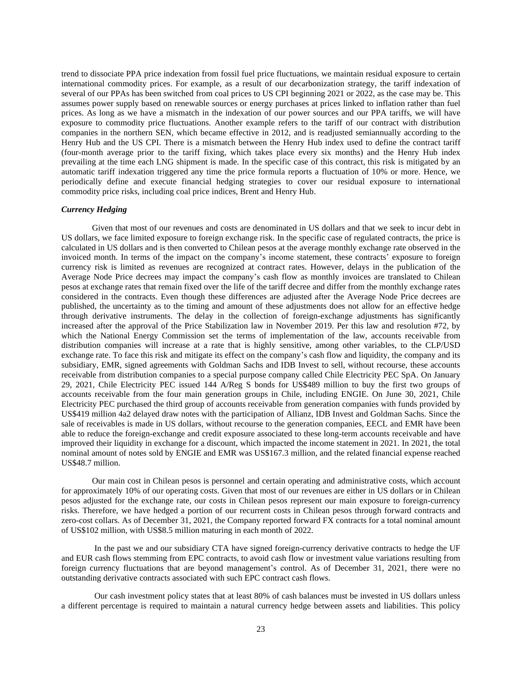trend to dissociate PPA price indexation from fossil fuel price fluctuations, we maintain residual exposure to certain international commodity prices. For example, as a result of our decarbonization strategy, the tariff indexation of several of our PPAs has been switched from coal prices to US CPI beginning 2021 or 2022, as the case may be. This assumes power supply based on renewable sources or energy purchases at prices linked to inflation rather than fuel prices. As long as we have a mismatch in the indexation of our power sources and our PPA tariffs, we will have exposure to commodity price fluctuations. Another example refers to the tariff of our contract with distribution companies in the northern SEN, which became effective in 2012, and is readjusted semiannually according to the Henry Hub and the US CPI. There is a mismatch between the Henry Hub index used to define the contract tariff (four-month average prior to the tariff fixing, which takes place every six months) and the Henry Hub index prevailing at the time each LNG shipment is made. In the specific case of this contract, this risk is mitigated by an automatic tariff indexation triggered any time the price formula reports a fluctuation of 10% or more. Hence, we periodically define and execute financial hedging strategies to cover our residual exposure to international commodity price risks, including coal price indices, Brent and Henry Hub.

## <span id="page-22-0"></span>*Currency Hedging*

Given that most of our revenues and costs are denominated in US dollars and that we seek to incur debt in US dollars, we face limited exposure to foreign exchange risk. In the specific case of regulated contracts, the price is calculated in US dollars and is then converted to Chilean pesos at the average monthly exchange rate observed in the invoiced month. In terms of the impact on the company's income statement, these contracts' exposure to foreign currency risk is limited as revenues are recognized at contract rates. However, delays in the publication of the Average Node Price decrees may impact the company's cash flow as monthly invoices are translated to Chilean pesos at exchange rates that remain fixed over the life of the tariff decree and differ from the monthly exchange rates considered in the contracts. Even though these differences are adjusted after the Average Node Price decrees are published, the uncertainty as to the timing and amount of these adjustments does not allow for an effective hedge through derivative instruments. The delay in the collection of foreign-exchange adjustments has significantly increased after the approval of the Price Stabilization law in November 2019. Per this law and resolution #72, by which the National Energy Commission set the terms of implementation of the law, accounts receivable from distribution companies will increase at a rate that is highly sensitive, among other variables, to the CLP/USD exchange rate. To face this risk and mitigate its effect on the company's cash flow and liquidity, the company and its subsidiary, EMR, signed agreements with Goldman Sachs and IDB Invest to sell, without recourse, these accounts receivable from distribution companies to a special purpose company called Chile Electricity PEC SpA. On January 29, 2021, Chile Electricity PEC issued 144 A/Reg S bonds for US\$489 million to buy the first two groups of accounts receivable from the four main generation groups in Chile, including ENGIE. On June 30, 2021, Chile Electricity PEC purchased the third group of accounts receivable from generation companies with funds provided by US\$419 million 4a2 delayed draw notes with the participation of Allianz, IDB Invest and Goldman Sachs. Since the sale of receivables is made in US dollars, without recourse to the generation companies, EECL and EMR have been able to reduce the foreign-exchange and credit exposure associated to these long-term accounts receivable and have improved their liquidity in exchange for a discount, which impacted the income statement in 2021. In 2021, the total nominal amount of notes sold by ENGIE and EMR was US\$167.3 million, and the related financial expense reached US\$48.7 million.

Our main cost in Chilean pesos is personnel and certain operating and administrative costs, which account for approximately 10% of our operating costs. Given that most of our revenues are either in US dollars or in Chilean pesos adjusted for the exchange rate, our costs in Chilean pesos represent our main exposure to foreign-currency risks. Therefore, we have hedged a portion of our recurrent costs in Chilean pesos through forward contracts and zero-cost collars. As of December 31, 2021, the Company reported forward FX contracts for a total nominal amount of US\$102 million, with US\$8.5 million maturing in each month of 2022.

In the past we and our subsidiary CTA have signed foreign-currency derivative contracts to hedge the UF and EUR cash flows stemming from EPC contracts, to avoid cash flow or investment value variations resulting from foreign currency fluctuations that are beyond management's control. As of December 31, 2021, there were no outstanding derivative contracts associated with such EPC contract cash flows.

Our cash investment policy states that at least 80% of cash balances must be invested in US dollars unless a different percentage is required to maintain a natural currency hedge between assets and liabilities. This policy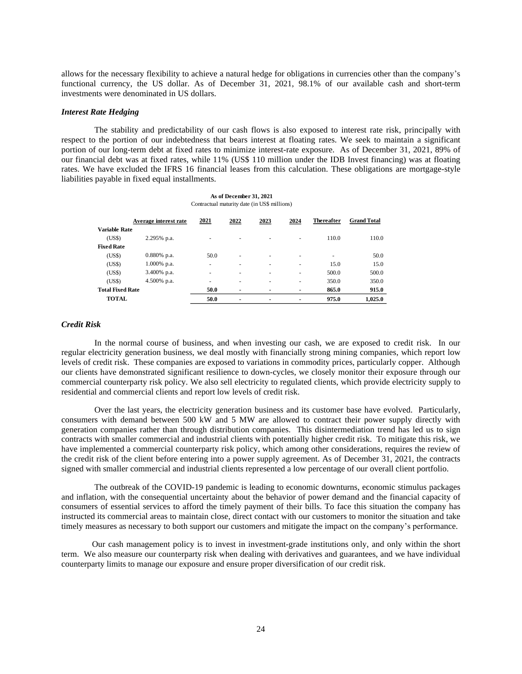allows for the necessary flexibility to achieve a natural hedge for obligations in currencies other than the company's functional currency, the US dollar. As of December 31, 2021, 98.1% of our available cash and short-term investments were denominated in US dollars.

### <span id="page-23-0"></span>*Interest Rate Hedging*

The stability and predictability of our cash flows is also exposed to interest rate risk, principally with respect to the portion of our indebtedness that bears interest at floating rates. We seek to maintain a significant portion of our long-term debt at fixed rates to minimize interest-rate exposure. As of December 31, 2021, 89% of our financial debt was at fixed rates, while 11% (US\$ 110 million under the IDB Invest financing) was at floating rates. We have excluded the IFRS 16 financial leases from this calculation. These obligations are mortgage-style liabilities payable in fixed equal installments.

| As of December 31, 2021                      |
|----------------------------------------------|
| Contractual maturity date (in US\$ millions) |

|                         | Average interest rate | 2021 | 2022                     | 2023                     | 2024 | <b>Thereafter</b> | <b>Grand Total</b> |
|-------------------------|-----------------------|------|--------------------------|--------------------------|------|-------------------|--------------------|
| Variable Rate           |                       |      |                          |                          |      |                   |                    |
| (US\$)                  | 2.295% p.a.           | ۰    |                          | $\overline{\phantom{a}}$ | ۰    | 110.0             | 110.0              |
| <b>Fixed Rate</b>       |                       |      |                          |                          |      |                   |                    |
| (US\$)                  | $0.880\%$ p.a.        | 50.0 | ۰                        | $\overline{\phantom{a}}$ | -    | ۰                 | 50.0               |
| (US\$)                  | $1.000\%$ p.a.        | ۰    | ۰                        | ٠                        | -    | 15.0              | 15.0               |
| (US\$)                  | 3.400% p.a.           | ۰    | ۰                        | ٠                        | ۰    | 500.0             | 500.0              |
| (US\$)                  | 4.500% p.a.           | ۰    | ۰                        | ٠                        | ٠    | 350.0             | 350.0              |
| <b>Total Fixed Rate</b> |                       | 50.0 | $\overline{\phantom{0}}$ | $\blacksquare$           |      | 865.0             | 915.0              |
| <b>TOTAL</b>            |                       | 50.0 | $\overline{\phantom{0}}$ | $\blacksquare$           | ۰    | 975.0             | 1.025.0            |

# <span id="page-23-1"></span>*Credit Risk*

In the normal course of business, and when investing our cash, we are exposed to credit risk. In our regular electricity generation business, we deal mostly with financially strong mining companies, which report low levels of credit risk. These companies are exposed to variations in commodity prices, particularly copper. Although our clients have demonstrated significant resilience to down-cycles, we closely monitor their exposure through our commercial counterparty risk policy. We also sell electricity to regulated clients, which provide electricity supply to residential and commercial clients and report low levels of credit risk.

Over the last years, the electricity generation business and its customer base have evolved. Particularly, consumers with demand between 500 kW and 5 MW are allowed to contract their power supply directly with generation companies rather than through distribution companies. This disintermediation trend has led us to sign contracts with smaller commercial and industrial clients with potentially higher credit risk. To mitigate this risk, we have implemented a commercial counterparty risk policy, which among other considerations, requires the review of the credit risk of the client before entering into a power supply agreement. As of December 31, 2021, the contracts signed with smaller commercial and industrial clients represented a low percentage of our overall client portfolio.

The outbreak of the COVID-19 pandemic is leading to economic downturns, economic stimulus packages and inflation, with the consequential uncertainty about the behavior of power demand and the financial capacity of consumers of essential services to afford the timely payment of their bills. To face this situation the company has instructed its commercial areas to maintain close, direct contact with our customers to monitor the situation and take timely measures as necessary to both support our customers and mitigate the impact on the company's performance.

Our cash management policy is to invest in investment-grade institutions only, and only within the short term. We also measure our counterparty risk when dealing with derivatives and guarantees, and we have individual counterparty limits to manage our exposure and ensure proper diversification of our credit risk.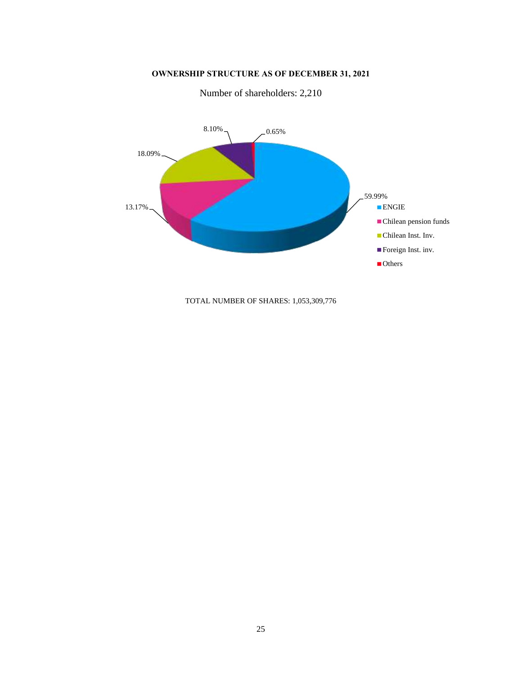**OWNERSHIP STRUCTURE AS OF DECEMBER 31, 2021**

<span id="page-24-0"></span>

Number of shareholders: 2,210

TOTAL NUMBER OF SHARES: 1,053,309,776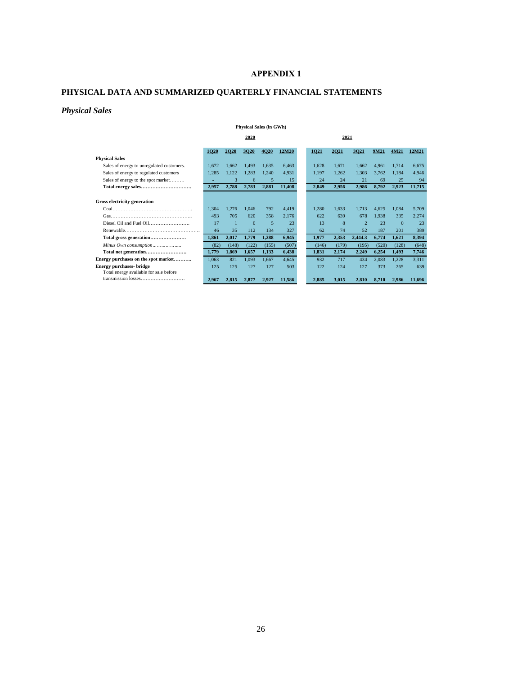# **APPENDIX 1**

# <span id="page-25-1"></span><span id="page-25-0"></span>**PHYSICAL DATA AND SUMMARIZED QUARTERLY FINANCIAL STATEMENTS**

# <span id="page-25-2"></span>*Physical Sales*

## **Physical Sales (in GWh)**

|                                           | 2020  |       |          |             |        | 2021  |       |                |       |          |        |
|-------------------------------------------|-------|-------|----------|-------------|--------|-------|-------|----------------|-------|----------|--------|
|                                           | 1020  | 2020  | 3020     | <b>4020</b> | 12M20  | 1021  | 2021  | 3021           | 9M21  | 4M21     | 12M21  |
| <b>Physical Sales</b>                     |       |       |          |             |        |       |       |                |       |          |        |
| Sales of energy to unregulated customers. | 1.672 | 1.662 | 1,493    | 1.635       | 6.463  | 1.628 | 1.671 | 1.662          | 4,961 | 1.714    | 6.675  |
| Sales of energy to regulated customers    | 1,285 | 1,122 | 1,283    | 1.240       | 4.931  | 1.197 | 1.262 | 1,303          | 3,762 | 1.184    | 4.946  |
| Sales of energy to the spot market        |       | 3     | 6        | 5           | 15     | 24    | 24    | 21             | 69    | 25       | 94     |
|                                           | 2,957 | 2,788 | 2,783    | 2,881       | 11,408 | 2,849 | 2,956 | 2,986          | 8,792 | 2,923    | 11,715 |
|                                           |       |       |          |             |        |       |       |                |       |          |        |
| Gross electricity generation              |       |       |          |             |        |       |       |                |       |          |        |
|                                           | 1.304 | 1.276 | 1.046    | 792         | 4,419  | 1.280 | 1.633 | 1.713          | 4.625 | 1.084    | 5,709  |
|                                           | 493   | 705   | 620      | 358         | 2.176  | 622   | 639   | 678            | 1.938 | 335      | 2,274  |
|                                           | 17    |       | $\Omega$ | 5           | 23     | 13    | 8     | $\overline{2}$ | 23    | $\Omega$ | 23     |
|                                           | 46    | 35    | 112      | 134         | 327    | 62    | 74    | 52             | 187   | 201      | 389    |
| Total gross generation                    | 1,861 | 2,017 | 1,779    | 1,288       | 6,945  | 1,977 | 2,353 | 2,444.3        | 6,774 | 1,621    | 8,394  |
| Minus Own consumption                     | (82)  | (148) | (122)    | (155)       | (507)  | (146) | (179) | (195)          | (520) | (128)    | (648)  |
|                                           | 1,779 | 1,869 | 1,657    | 1,133       | 6,438  | 1.831 | 2,174 | 2,249          | 6,254 | 1.493    | 7,746  |
| Energy purchases on the spot market       | 1.063 | 821   | 1.093    | 1.667       | 4.645  | 932   | 717   | 434            | 2,083 | 1.228    | 3.311  |
| <b>Energy purchases- bridge</b>           | 125   | 125   | 127      | 127         | 503    | 122   | 124   | 127            | 373   | 265      | 639    |
| Total energy available for sale before    |       |       |          |             |        |       |       |                |       |          |        |
| transmission losses                       | 2.967 | 2.815 | 2.877    | 2.927       | 11.586 | 2.885 | 3.015 | 2,810          | 8.710 | 2.986    | 11.696 |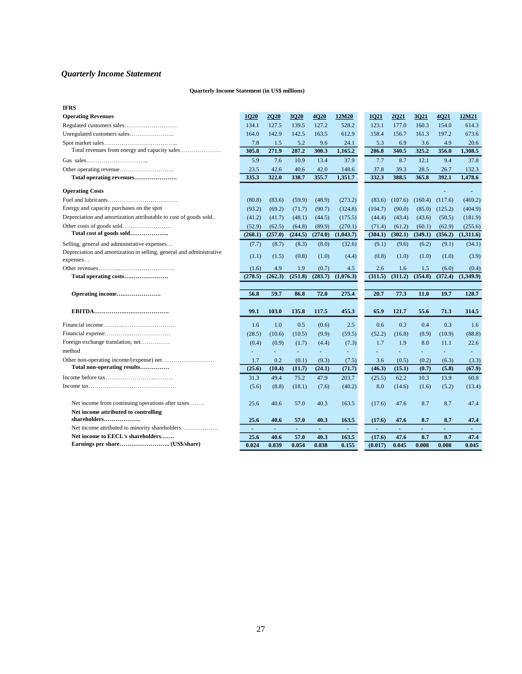# <span id="page-26-0"></span>*Quarterly Income Statement*

## **Quarterly Income Statement (in US\$ millions)**

| <b>IFRS</b>                                                          |         |                |          |                          |                          |         |                |         |                          |           |
|----------------------------------------------------------------------|---------|----------------|----------|--------------------------|--------------------------|---------|----------------|---------|--------------------------|-----------|
| <b>Operating Revenues</b>                                            | 1Q20    | <b>2Q20</b>    | 3Q20     | <b>4Q20</b>              | 12M20                    | 1Q21    | 2Q21           | 3Q21    | 4Q21                     | 12M21     |
|                                                                      | 134.1   | 127.5          | 139.5    | 127.2                    | 528.2                    | 123.1   | 177.0          | 160.3   | 154.0                    | 614.3     |
|                                                                      | 164.0   | 142.9          | 142.5    | 163.5                    | 612.9                    | 158.4   | 156.7          | 161.3   | 197.2                    | 673.6     |
|                                                                      | 7.8     | 1.5            | 5.2      | 9.6                      | 24.1                     | 5.3     | 6.9            | 3.6     | 4.9                      | 20.6      |
|                                                                      | 305.8   | 271.9          | 287.2    | 300.3                    | 1.165.2                  | 286.8   | 340.5          | 325.2   | 356.0                    | 1,308.5   |
|                                                                      | 5.9     | 7.6            | 10.9     | 13.4                     | 37.9                     | 7.7     | 8.7            | 12.1    | 9.4                      | 37.8      |
|                                                                      | 23.5    | 42.6           | 40.6     | 42.0                     | 148.6                    | 37.8    | 39.3           | 28.5    | 26.7                     | 132.3     |
| Total operating revenues                                             | 335.3   | 322.0          | 338.7    | 355.7                    | 1,351.7                  | 332.3   | 388.5          | 365.8   | 392.1                    | 1,478.6   |
| <b>Operating Costs</b>                                               |         |                |          |                          |                          |         |                |         |                          |           |
|                                                                      | (80.8)  | (83.6)         | (59.9)   | (48.9)                   | (273.2)                  | (83.6)  | (107.6)        | (160.4) | (117.6)                  | (469.2)   |
| Energy and capacity purchases on the spot                            | (93.2)  | (69.2)         | (71.7)   | (90.7)                   | (324.8)                  | (104.7) | (90.0)         | (85.0)  | (125.2)                  | (404.9)   |
| Depreciation and amortization attributable to cost of goods sold     | (41.2)  | (41.7)         | (48.1)   | (44.5)                   | (175.5)                  | (44.4)  | (43.4)         | (43.6)  | (50.5)                   | (181.9)   |
|                                                                      | (52.9)  | (62.5)         | (64.8)   | (89.9)                   | (270.1)                  | (71.4)  | (61.2)         | (60.1)  | (62.9)                   | (255.6)   |
| Total cost of goods sold                                             | (268.1) | (257.0)        | (244.5)  | (274.0)                  | (1,043.7)                | (304.1) | (302.1)        | (349.1) | (356.2)                  | (1,311.6) |
| Selling, general and administrative expenses                         | (7.7)   | (8.7)          | (8.3)    | (8.0)                    | (32.6)                   | (9.1)   | (9.6)          | (6.2)   | (9.1)                    | (34.1)    |
| Depreciation and amortization in selling, general and administrative | (1.1)   | (1.5)          | (0.8)    | (1.0)                    | (4.4)                    | (0.8)   | (1.0)          | (1.0)   | (1.0)                    | (3.9)     |
| expenses                                                             | (1.6)   | 4.9            | 1.9      | (0.7)                    | 4.5                      | 2.6     | 1.6            | 1.5     | (6.0)                    | (0.4)     |
|                                                                      | (278.5) | (262.3)        | (251.8)  | (283.7)                  | (1,076.3)                | (311.5) | (311.2)        | (354.8) | (372.4)                  | (1,349.9) |
|                                                                      |         |                |          |                          |                          |         |                |         |                          |           |
| Operating income                                                     | 56.8    | 59.7           | 86.8     | 72.0                     | 275.4                    | 20.7    | 77.3           | 11.0    | 19.7                     | 128.7     |
|                                                                      |         |                |          |                          |                          |         |                |         |                          |           |
|                                                                      | 99.1    | 103.0          | 135.8    | 117.5                    |                          |         |                |         |                          |           |
|                                                                      |         |                |          |                          | 455.3                    | 65.9    | 121.7          | 55.6    | 71.3                     | 314.5     |
|                                                                      | 1.6     | 1.0            | 0.5      | (0.6)                    | 2.5                      | 0.6     | 0.3            | 0.4     | 0.3                      | 1.6       |
|                                                                      | (28.5)  | (10.6)         | (10.5)   | (9.9)                    | (59.5)                   | (52.2)  | (16.8)         | (8.9)   | (10.9)                   | (88.8)    |
| Foreign exchange translation, net                                    | (0.4)   | (0.9)          | (1.7)    | (4.4)                    | (7.3)                    | 1.7     | 1.9            | 8.0     | 11.1                     | 22.6      |
| method                                                               |         |                |          | $\overline{\phantom{a}}$ | $\overline{\phantom{a}}$ |         |                | ÷.      | $\overline{\phantom{a}}$ |           |
|                                                                      | 1.7     | 0.2            | (0.1)    | (9.3)                    | (7.5)                    | 3.6     | (0.5)          | (0.2)   | (6.3)                    | (3.3)     |
| Total non-operating results                                          | (25.6)  | (10.4)         | (11.7)   | (24.1)                   | (71.7)                   | (46.3)  | (15.1)         | (0.7)   | (5.8)                    | (67.9)    |
|                                                                      | 31.3    | 49.4           | 75.2     | 47.9                     | 203.7                    | (25.5)  | 62.2           | 10.3    | 13.9                     | 60.8      |
|                                                                      | (5.6)   | (8.8)          | (18.1)   | (7.6)                    | (40.2)                   | 8.0     | (14.6)         | (1.6)   | (5.2)                    | (13.4)    |
| Net income from continuing operations after taxes                    | 25.6    | 40.6           | 57.0     | 40.3                     | 163.5                    | (17.6)  | 47.6           | 8.7     | 8.7                      | 47.4      |
| Net income attributed to controlling                                 |         |                |          |                          |                          |         |                |         |                          |           |
| shareholders                                                         | 25.6    | 40.6           | 57.0     | 40.3                     | 163.5                    | (17.6)  | 47.6           | 8.7     | 8.7                      | 47.4      |
|                                                                      | $\sim$  | $\blacksquare$ | $\omega$ | $\sim$                   | $\blacksquare$           | $\sim$  | $\blacksquare$ | ÷.      | ÷.                       | ÷         |
| Net income to EECL's shareholders                                    | 25.6    | 40.6           | 57.0     | 40.3                     | 163.5                    | (17.6)  | 47.6           | 8.7     | 8.7                      | 47.4      |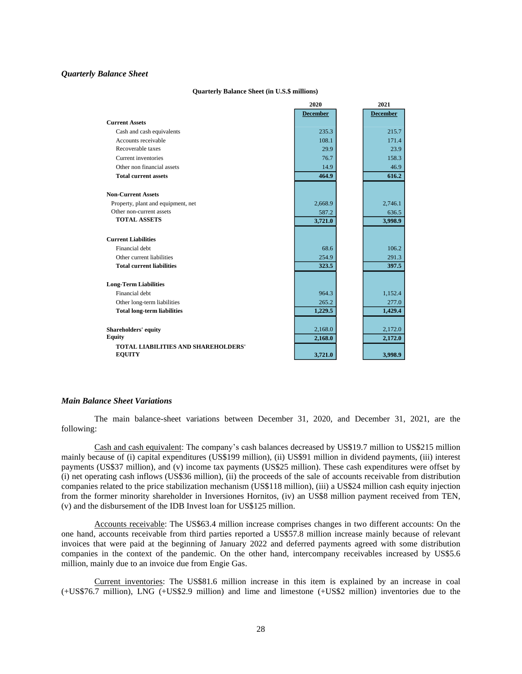### <span id="page-27-0"></span>*Quarterly Balance Sheet*

#### **Quarterly Balance Sheet (in U.S.\$ millions)**

|                                                             | 2020            | 2021            |
|-------------------------------------------------------------|-----------------|-----------------|
|                                                             | <b>December</b> | <b>December</b> |
| <b>Current Assets</b>                                       |                 |                 |
| Cash and cash equivalents                                   | 235.3           | 215.7           |
| Accounts receivable                                         | 108.1           | 171.4           |
| Recoverable taxes                                           | 29.9            | 23.9            |
| Current inventories                                         | 76.7            | 158.3           |
| Other non financial assets                                  | 14.9            | 46.9            |
| <b>Total current assets</b>                                 | 464.9           | 616.2           |
| <b>Non-Current Assets</b>                                   |                 |                 |
| Property, plant and equipment, net                          | 2,668.9         | 2,746.1         |
| Other non-current assets                                    | 587.2           | 636.5           |
| <b>TOTAL ASSETS</b>                                         | 3,721.0         | 3,998.9         |
| <b>Current Liabilities</b>                                  |                 |                 |
| Financial debt                                              | 68.6            | 106.2           |
| Other current liabilities                                   | 254.9           | 291.3           |
| <b>Total current liabilities</b>                            | 323.5           | 397.5           |
| <b>Long-Term Liabilities</b>                                |                 |                 |
| Financial debt                                              | 964.3           | 1,152.4         |
| Other long-term liabilities                                 | 265.2           | 277.0           |
| <b>Total long-term liabilities</b>                          | 1,229.5         | 1,429.4         |
| Shareholders' equity                                        | 2,168.0         | 2,172.0         |
| <b>Equity</b>                                               | 2,168.0         | 2,172.0         |
| <b>TOTAL LIABILITIES AND SHAREHOLDERS'</b><br><b>EQUITY</b> | 3,721.0         | 3,998.9         |

### <span id="page-27-1"></span>*Main Balance Sheet Variations*

The main balance-sheet variations between December 31, 2020, and December 31, 2021, are the following:

Cash and cash equivalent: The company's cash balances decreased by US\$19.7 million to US\$215 million mainly because of (i) capital expenditures (US\$199 million), (ii) US\$91 million in dividend payments, (iii) interest payments (US\$37 million), and (v) income tax payments (US\$25 million). These cash expenditures were offset by (i) net operating cash inflows (US\$36 million), (ii) the proceeds of the sale of accounts receivable from distribution companies related to the price stabilization mechanism (US\$118 million), (iii) a US\$24 million cash equity injection from the former minority shareholder in Inversiones Hornitos, (iv) an US\$8 million payment received from TEN, (v) and the disbursement of the IDB Invest loan for US\$125 million.

Accounts receivable: The US\$63.4 million increase comprises changes in two different accounts: On the one hand, accounts receivable from third parties reported a US\$57.8 million increase mainly because of relevant invoices that were paid at the beginning of January 2022 and deferred payments agreed with some distribution companies in the context of the pandemic. On the other hand, intercompany receivables increased by US\$5.6 million, mainly due to an invoice due from Engie Gas.

Current inventories: The US\$81.6 million increase in this item is explained by an increase in coal (+US\$76.7 million), LNG (+US\$2.9 million) and lime and limestone (+US\$2 million) inventories due to the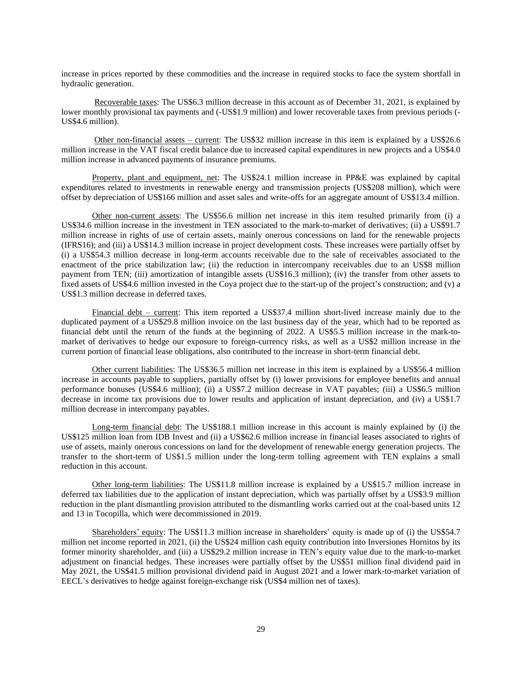increase in prices reported by these commodities and the increase in required stocks to face the system shortfall in hydraulic generation.

Recoverable taxes: The US\$6.3 million decrease in this account as of December 31, 2021, is explained by lower monthly provisional tax payments and (-US\$1.9 million) and lower recoverable taxes from previous periods (-US\$4.6 million).

Other non-financial assets – current: The US\$32 million increase in this item is explained by a US\$26.6 million increase in the VAT fiscal credit balance due to increased capital expenditures in new projects and a US\$4.0 million increase in advanced payments of insurance premiums.

Property, plant and equipment, net: The US\$24.1 million increase in PP&E was explained by capital expenditures related to investments in renewable energy and transmission projects (US\$208 million), which were offset by depreciation of US\$166 million and asset sales and write-offs for an aggregate amount of US\$13.4 million.

Other non-current assets: The US\$56.6 million net increase in this item resulted primarily from (i) a US\$34.6 million increase in the investment in TEN associated to the mark-to-market of derivatives; (ii) a US\$91.7 million increase in rights of use of certain assets, mainly onerous concessions on land for the renewable projects (IFRS16); and (iii) a US\$14.3 million increase in project development costs. These increases were partially offset by (i) a US\$54.3 million decrease in long-term accounts receivable due to the sale of receivables associated to the enactment of the price stabilization law; (ii) the reduction in intercompany receivables due to an US\$8 million payment from TEN; (iii) amortization of intangible assets (US\$16.3 million); (iv) the transfer from other assets to fixed assets of US\$4.6 million invested in the Coya project due to the start-up of the project's construction; and (v) a US\$1.3 million decrease in deferred taxes.

Financial debt – current: This item reported a US\$37.4 million short-lived increase mainly due to the duplicated payment of a US\$29.8 million invoice on the last business day of the year, which had to be reported as financial debt until the return of the funds at the beginning of 2022. A US\$5.5 million increase in the mark-tomarket of derivatives to hedge our exposure to foreign-currency risks, as well as a US\$2 million increase in the current portion of financial lease obligations, also contributed to the increase in short-term financial debt.

Other current liabilities: The US\$36.5 million net increase in this item is explained by a US\$56.4 million increase in accounts payable to suppliers, partially offset by (i) lower provisions for employee benefits and annual performance bonuses (US\$4.6 million); (ii) a US\$7.2 million decrease in VAT payables; (iii) a US\$6.5 million decrease in income tax provisions due to lower results and application of instant depreciation, and (iv) a US\$1.7 million decrease in intercompany payables.

Long-term financial debt: The US\$188.1 million increase in this account is mainly explained by (i) the US\$125 million loan from IDB Invest and (ii) a US\$62.6 million increase in financial leases associated to rights of use of assets, mainly onerous concessions on land for the development of renewable energy generation projects. The transfer to the short-term of US\$1.5 million under the long-term tolling agreement with TEN explains a small reduction in this account.

Other long-term liabilities: The US\$11.8 million increase is explained by a US\$15.7 million increase in deferred tax liabilities due to the application of instant depreciation, which was partially offset by a US\$3.9 million reduction in the plant dismantling provision attributed to the dismantling works carried out at the coal-based units 12 and 13 in Tocopilla, which were decommissioned in 2019.

Shareholders' equity: The US\$11.3 million increase in shareholders' equity is made up of (i) the US\$54.7 million net income reported in 2021, (ii) the US\$24 million cash equity contribution into Inversiones Hornitos by its former minority shareholder, and (iii) a US\$29.2 million increase in TEN's equity value due to the mark-to-market adjustment on financial hedges. These increases were partially offset by the US\$51 million final dividend paid in May 2021, the US\$41.5 million provisional dividend paid in August 2021 and a lower mark-to-market variation of EECL's derivatives to hedge against foreign-exchange risk (US\$4 million net of taxes).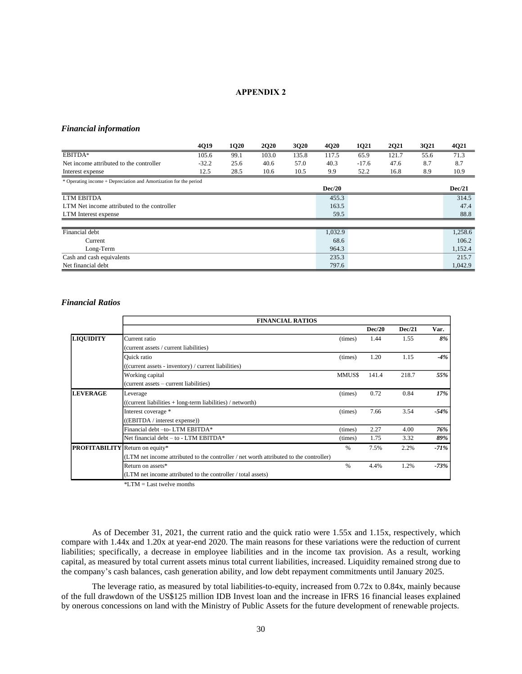### **APPENDIX 2**

# <span id="page-29-1"></span><span id="page-29-0"></span>*Financial information*

|                                                                   | 4Q19    | <b>1Q20</b> | <b>2Q20</b> | <b>3Q20</b> | <b>4Q20</b> | 1Q21    | <b>2Q21</b> | 3Q21 | 4Q21    |
|-------------------------------------------------------------------|---------|-------------|-------------|-------------|-------------|---------|-------------|------|---------|
| EBITDA*                                                           | 105.6   | 99.1        | 103.0       | 135.8       | 117.5       | 65.9    | 121.7       | 55.6 | 71.3    |
| Net income attributed to the controller                           | $-32.2$ | 25.6        | 40.6        | 57.0        | 40.3        | $-17.6$ | 47.6        | 8.7  | 8.7     |
| Interest expense                                                  | 12.5    | 28.5        | 10.6        | 10.5        | 9.9         | 52.2    | 16.8        | 8.9  | 10.9    |
| * Operating income + Depreciation and Amortization for the period |         |             |             |             |             |         |             |      |         |
|                                                                   |         |             |             |             | Dec/20      |         |             |      | Dec/21  |
| <b>LTM EBITDA</b>                                                 |         |             |             |             | 455.3       |         |             |      | 314.5   |
| LTM Net income attributed to the controller                       |         |             |             |             | 163.5       |         |             |      | 47.4    |
| LTM Interest expense                                              |         |             |             |             | 59.5        |         |             |      | 88.8    |
|                                                                   |         |             |             |             |             |         |             |      |         |
| Financial debt                                                    |         |             |             |             | 1,032.9     |         |             |      | 1,258.6 |
| Current                                                           |         |             |             |             | 68.6        |         |             |      | 106.2   |
| Long-Term                                                         |         |             |             |             | 964.3       |         |             |      | 1,152.4 |
| Cash and cash equivalents                                         |         |             |             |             | 235.3       |         |             |      | 215.7   |
| Net financial debt                                                |         |             |             |             | 797.6       |         |             |      | 1,042.9 |

### <span id="page-29-2"></span>*Financial Ratios*

|                                        | <b>FINANCIAL RATIOS</b>                                                                |         |        |        |         |  |  |  |
|----------------------------------------|----------------------------------------------------------------------------------------|---------|--------|--------|---------|--|--|--|
|                                        |                                                                                        |         | Dec/20 | Dec/21 | Var.    |  |  |  |
| <b>LIQUIDITY</b>                       | Current ratio                                                                          | (times) | 1.44   | 1.55   | 8%      |  |  |  |
|                                        | (current assets / current liabilities)                                                 |         |        |        |         |  |  |  |
|                                        | <b>Ouick</b> ratio                                                                     | (times) | 1.20   | 1.15   | $-4%$   |  |  |  |
|                                        | ((current assets - inventory) / current liabilities)                                   |         |        |        |         |  |  |  |
|                                        | Working capital                                                                        | MMUS\$  | 141.4  | 218.7  | 55%     |  |  |  |
|                                        | (current assets – current liabilities)                                                 |         |        |        |         |  |  |  |
| <b>LEVERAGE</b>                        | Leverage                                                                               | (times) | 0.72   | 0.84   | 17%     |  |  |  |
|                                        | ((current liabilities + long-term liabilities) / networth)                             |         |        |        |         |  |  |  |
|                                        | Interest coverage *                                                                    | (times) | 7.66   | 3.54   | -54%    |  |  |  |
|                                        | ((EBITDA / interest expense))                                                          |         |        |        |         |  |  |  |
|                                        | Financial debt -to- LTM EBITDA*                                                        | (times) | 2.27   | 4.00   | 76%     |  |  |  |
|                                        | Net financial debt $-$ to $-$ LTM EBITDA*                                              | (times) | 1.75   | 3.32   | 89%     |  |  |  |
| <b>PROFITABILITY</b> Return on equity* |                                                                                        | $\%$    | 7.5%   | 2.2%   | $-71\%$ |  |  |  |
|                                        | (LTM net income attributed to the controller / net worth attributed to the controller) |         |        |        |         |  |  |  |
|                                        | Return on assets*                                                                      | $\%$    | 4.4%   | 1.2%   | $-73%$  |  |  |  |
|                                        | (LTM net income attributed to the controller / total assets)                           |         |        |        |         |  |  |  |

\*LTM = Last twelve months

As of December 31, 2021, the current ratio and the quick ratio were 1.55x and 1.15x, respectively, which compare with 1.44x and 1.20x at year-end 2020. The main reasons for these variations were the reduction of current liabilities; specifically, a decrease in employee liabilities and in the income tax provision. As a result, working capital, as measured by total current assets minus total current liabilities, increased. Liquidity remained strong due to the company's cash balances, cash generation ability, and low debt repayment commitments until January 2025.

The leverage ratio, as measured by total liabilities-to-equity, increased from 0.72x to 0.84x, mainly because of the full drawdown of the US\$125 million IDB Invest loan and the increase in IFRS 16 financial leases explained by onerous concessions on land with the Ministry of Public Assets for the future development of renewable projects.